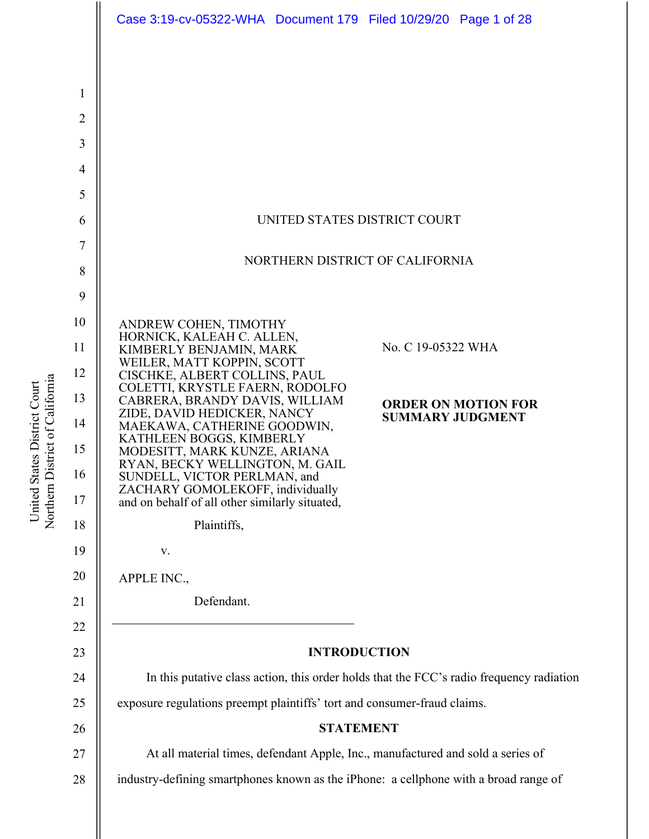|                | Case 3:19-cv-05322-WHA  Document 179  Filed 10/29/20  Page 1 of 28                          |
|----------------|---------------------------------------------------------------------------------------------|
|                |                                                                                             |
| $\mathbf{1}$   |                                                                                             |
| $\overline{2}$ |                                                                                             |
| 3              |                                                                                             |
| $\overline{4}$ |                                                                                             |
| 5              |                                                                                             |
| 6              | UNITED STATES DISTRICT COURT                                                                |
| $\overline{7}$ |                                                                                             |
| 8              | NORTHERN DISTRICT OF CALIFORNIA                                                             |
| 9              |                                                                                             |
| 10             | ANDREW COHEN, TIMOTHY<br>HORNICK, KALEAH C. ALLEN,                                          |
| 11             | No. C 19-05322 WHA<br>KIMBERLY BENJAMIN, MARK<br>WEILER, MATT KOPPIN, SCOTT                 |
| 12             | CISCHKE, ALBERT COLLINS, PAUL<br>COLETTI, KRYSTLE FAERN, RODOLFO                            |
| 13             | CABRERA, BRANDY DAVIS, WILLIAM<br><b>ORDER ON MOTION FOR</b><br>ZIDE, DAVID HEDICKER, NANCY |
| 14             | <b>SUMMARY JUDGMENT</b><br>MAEKAWA, CATHERINE GOODWIN,<br>KATHLEEN BOGGS, KIMBERLY          |
| 15             | MODESITT, MARK KUNZE, ARIANA<br>RYAN, BECKY WELLINGTON, M. GAIL                             |
| 16             | SUNDELL, VICTOR PERLMAN, and<br>ZACHARY GOMOLEKOFF, individually                            |
| 17             | and on behalf of all other similarly situated,                                              |
| 18             | Plaintiffs,                                                                                 |
| 19             | V.                                                                                          |
| 20             | APPLE INC.,                                                                                 |
| 21<br>22       | Defendant.                                                                                  |
| 23             | <b>INTRODUCTION</b>                                                                         |
| 24             | In this putative class action, this order holds that the FCC's radio frequency radiation    |
| 25             | exposure regulations preempt plaintiffs' tort and consumer-fraud claims.                    |
| 26             | <b>STATEMENT</b>                                                                            |
| 27             | At all material times, defendant Apple, Inc., manufactured and sold a series of             |
| 28             | industry-defining smartphones known as the iPhone: a cellphone with a broad range of        |
|                |                                                                                             |
|                |                                                                                             |

United States District Court<br>Northern District of California Northern District of California United States District Court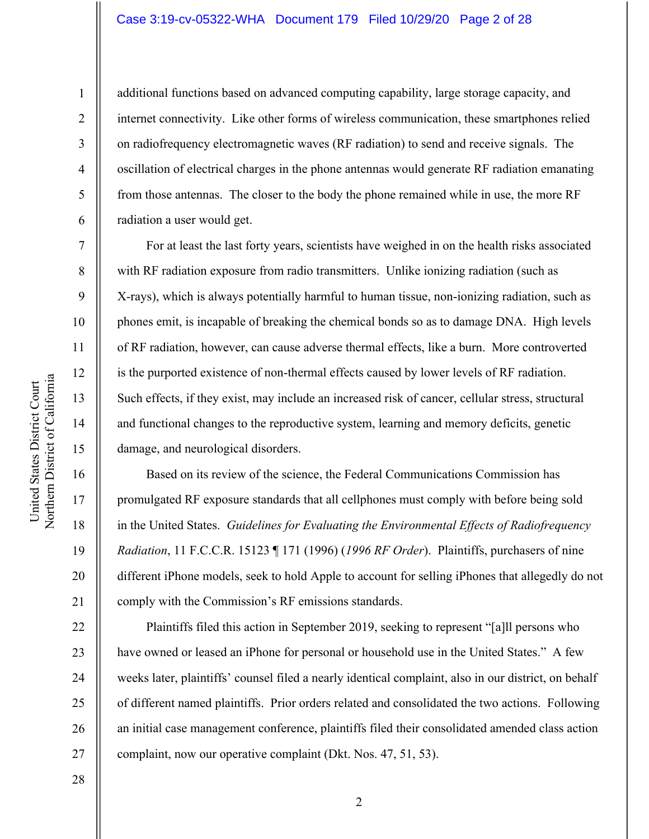### Case 3:19-cv-05322-WHA Document 179 Filed 10/29/20 Page 2 of 28

10 11 12 Northern District of California Northern District of California 13 14 15 16 17 18

United States District Court

United States District Court

1

2

3

4

5

6

7

8

9

additional functions based on advanced computing capability, large storage capacity, and internet connectivity. Like other forms of wireless communication, these smartphones relied on radiofrequency electromagnetic waves (RF radiation) to send and receive signals. The oscillation of electrical charges in the phone antennas would generate RF radiation emanating from those antennas. The closer to the body the phone remained while in use, the more RF radiation a user would get.

For at least the last forty years, scientists have weighed in on the health risks associated with RF radiation exposure from radio transmitters. Unlike ionizing radiation (such as X-rays), which is always potentially harmful to human tissue, non-ionizing radiation, such as phones emit, is incapable of breaking the chemical bonds so as to damage DNA. High levels of RF radiation, however, can cause adverse thermal effects, like a burn. More controverted is the purported existence of non-thermal effects caused by lower levels of RF radiation. Such effects, if they exist, may include an increased risk of cancer, cellular stress, structural and functional changes to the reproductive system, learning and memory deficits, genetic damage, and neurological disorders.

Based on its review of the science, the Federal Communications Commission has promulgated RF exposure standards that all cellphones must comply with before being sold in the United States. *Guidelines for Evaluating the Environmental Effects of Radiofrequency Radiation*, 11 F.C.C.R. 15123 ¶ 171 (1996) (*1996 RF Order*). Plaintiffs, purchasers of nine different iPhone models, seek to hold Apple to account for selling iPhones that allegedly do not comply with the Commission's RF emissions standards.

Plaintiffs filed this action in September 2019, seeking to represent "[a]ll persons who have owned or leased an iPhone for personal or household use in the United States." A few weeks later, plaintiffs' counsel filed a nearly identical complaint, also in our district, on behalf of different named plaintiffs. Prior orders related and consolidated the two actions. Following an initial case management conference, plaintiffs filed their consolidated amended class action complaint, now our operative complaint (Dkt. Nos. 47, 51, 53).

28

19

20

21

22

23

24

25

26

27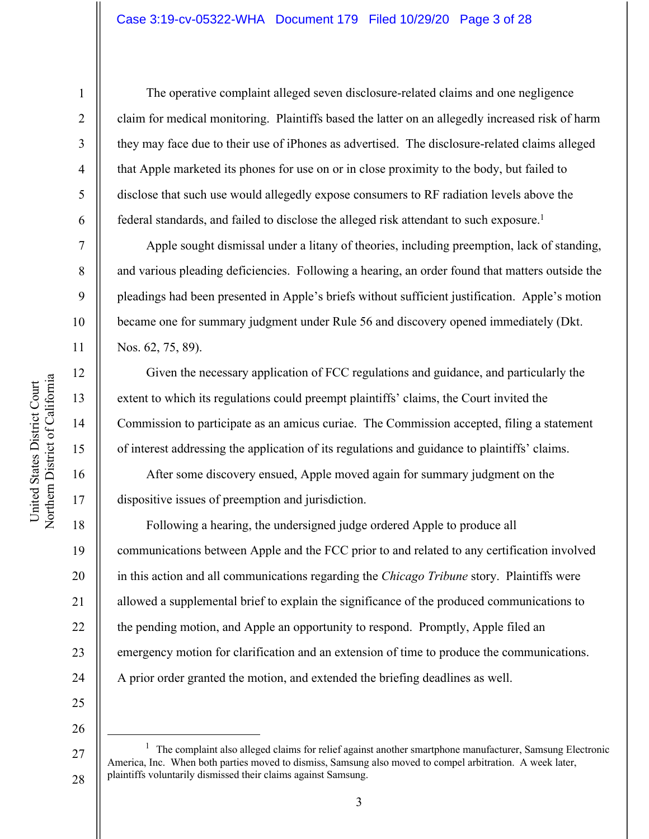### Case 3:19-cv-05322-WHA Document 179 Filed 10/29/20 Page 3 of 28

United States District Court

1

2

3

4

5

6

7

8

9

10

11

12

13

14

15

16

17

18

19

20

21

22

23

24

The operative complaint alleged seven disclosure-related claims and one negligence claim for medical monitoring. Plaintiffs based the latter on an allegedly increased risk of harm they may face due to their use of iPhones as advertised. The disclosure-related claims alleged that Apple marketed its phones for use on or in close proximity to the body, but failed to disclose that such use would allegedly expose consumers to RF radiation levels above the federal standards, and failed to disclose the alleged risk attendant to such exposure.<sup>1</sup>

Apple sought dismissal under a litany of theories, including preemption, lack of standing, and various pleading deficiencies. Following a hearing, an order found that matters outside the pleadings had been presented in Apple's briefs without sufficient justification. Apple's motion became one for summary judgment under Rule 56 and discovery opened immediately (Dkt. Nos. 62, 75, 89).

Given the necessary application of FCC regulations and guidance, and particularly the extent to which its regulations could preempt plaintiffs' claims, the Court invited the Commission to participate as an amicus curiae. The Commission accepted, filing a statement of interest addressing the application of its regulations and guidance to plaintiffs' claims.

After some discovery ensued, Apple moved again for summary judgment on the dispositive issues of preemption and jurisdiction.

Following a hearing, the undersigned judge ordered Apple to produce all communications between Apple and the FCC prior to and related to any certification involved in this action and all communications regarding the *Chicago Tribune* story. Plaintiffs were allowed a supplemental brief to explain the significance of the produced communications to the pending motion, and Apple an opportunity to respond. Promptly, Apple filed an emergency motion for clarification and an extension of time to produce the communications. A prior order granted the motion, and extended the briefing deadlines as well.

25 26

27

28

 $1$  The complaint also alleged claims for relief against another smartphone manufacturer, Samsung Electronic America, Inc. When both parties moved to dismiss, Samsung also moved to compel arbitration. A week later, plaintiffs voluntarily dismissed their claims against Samsung.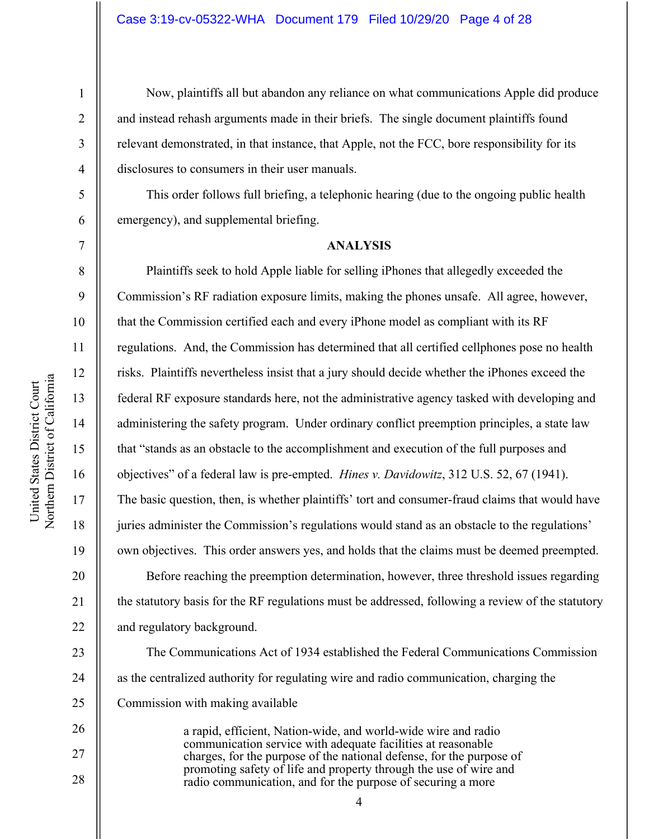1

2

3

4

5

6

7

8

9

20

21

22

23

24

25

26

27

28

Now, plaintiffs all but abandon any reliance on what communications Apple did produce and instead rehash arguments made in their briefs. The single document plaintiffs found relevant demonstrated, in that instance, that Apple, not the FCC, bore responsibility for its disclosures to consumers in their user manuals.

This order follows full briefing, a telephonic hearing (due to the ongoing public health emergency), and supplemental briefing.

#### **ANALYSIS**

Plaintiffs seek to hold Apple liable for selling iPhones that allegedly exceeded the Commission's RF radiation exposure limits, making the phones unsafe. All agree, however, that the Commission certified each and every iPhone model as compliant with its RF regulations. And, the Commission has determined that all certified cellphones pose no health risks. Plaintiffs nevertheless insist that a jury should decide whether the iPhones exceed the federal RF exposure standards here, not the administrative agency tasked with developing and administering the safety program. Under ordinary conflict preemption principles, a state law that "stands as an obstacle to the accomplishment and execution of the full purposes and objectives" of a federal law is pre-empted. *Hines v. Davidowitz*, 312 U.S. 52, 67 (1941). The basic question, then, is whether plaintiffs' tort and consumer-fraud claims that would have juries administer the Commission's regulations would stand as an obstacle to the regulations' own objectives. This order answers yes, and holds that the claims must be deemed preempted. Before reaching the preemption determination, however, three threshold issues regarding the statutory basis for the RF regulations must be addressed, following a review of the statutory and regulatory background.

The Communications Act of 1934 established the Federal Communications Commission as the centralized authority for regulating wire and radio communication, charging the Commission with making available

> a rapid, efficient, Nation-wide, and world-wide wire and radio communication service with adequate facilities at reasonable charges, for the purpose of the national defense, for the purpose of promoting safety of life and property through the use of wire and radio communication, and for the purpose of securing a more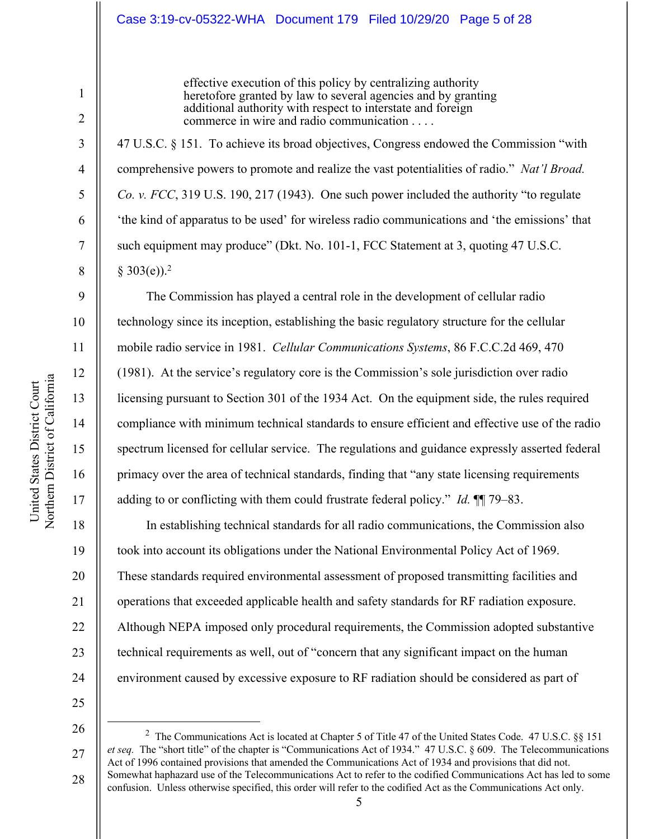### Case 3:19-cv-05322-WHA Document 179 Filed 10/29/20 Page 5 of 28

effective execution of this policy by centralizing authority heretofore granted by law to several agencies and by granting additional authority with respect to interstate and foreign commerce in wire and radio communication . . . .

47 U.S.C. § 151. To achieve its broad objectives, Congress endowed the Commission "with comprehensive powers to promote and realize the vast potentialities of radio." *Nat'l Broad. Co. v. FCC*, 319 U.S. 190, 217 (1943). One such power included the authority "to regulate 'the kind of apparatus to be used' for wireless radio communications and 'the emissions' that such equipment may produce" (Dkt. No. 101-1, FCC Statement at 3, quoting 47 U.S.C.  $§ 303(e).<sup>2</sup>$ 

The Commission has played a central role in the development of cellular radio technology since its inception, establishing the basic regulatory structure for the cellular mobile radio service in 1981. *Cellular Communications Systems*, 86 F.C.C.2d 469, 470 (1981). At the service's regulatory core is the Commission's sole jurisdiction over radio licensing pursuant to Section 301 of the 1934 Act. On the equipment side, the rules required compliance with minimum technical standards to ensure efficient and effective use of the radio spectrum licensed for cellular service. The regulations and guidance expressly asserted federal primacy over the area of technical standards, finding that "any state licensing requirements adding to or conflicting with them could frustrate federal policy." *Id.* ¶¶ 79–83.

In establishing technical standards for all radio communications, the Commission also took into account its obligations under the National Environmental Policy Act of 1969. These standards required environmental assessment of proposed transmitting facilities and operations that exceeded applicable health and safety standards for RF radiation exposure. Although NEPA imposed only procedural requirements, the Commission adopted substantive technical requirements as well, out of "concern that any significant impact on the human environment caused by excessive exposure to RF radiation should be considered as part of

25 26

27 28 <sup>2</sup> The Communications Act is located at Chapter 5 of Title 47 of the United States Code. 47 U.S.C. §§ 151 *et seq.* The "short title" of the chapter is "Communications Act of 1934." 47 U.S.C. § 609. The Telecommunications Act of 1996 contained provisions that amended the Communications Act of 1934 and provisions that did not. Somewhat haphazard use of the Telecommunications Act to refer to the codified Communications Act has led to some confusion. Unless otherwise specified, this order will refer to the codified Act as the Communications Act only.

1

2

3

4

5

6

7

8

9

10

11

12

13

14

15

16

17

18

19

20

21

22

23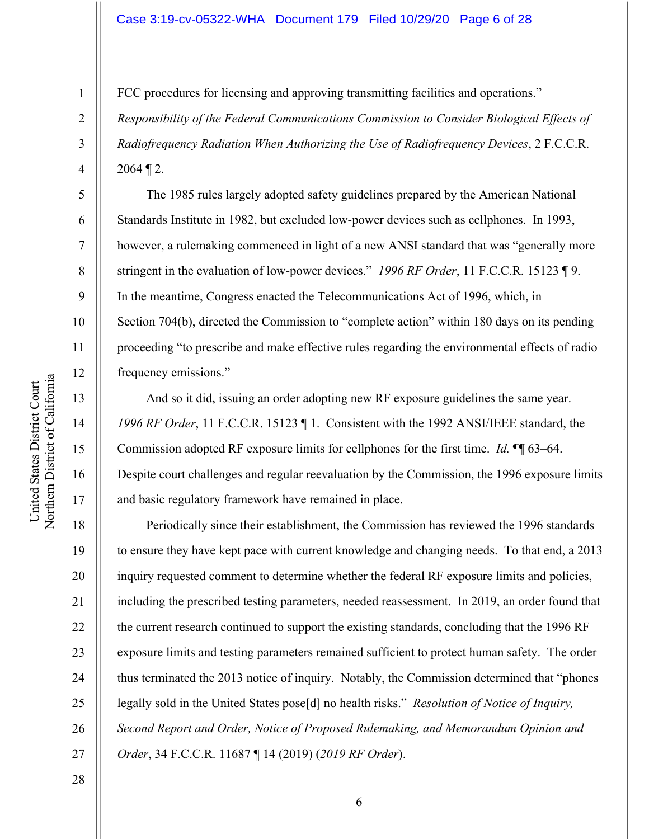# Case 3:19-cv-05322-WHA Document 179 Filed 10/29/20 Page 6 of 28

FCC procedures for licensing and approving transmitting facilities and operations."

*Responsibility of the Federal Communications Commission to Consider Biological Effects of Radiofrequency Radiation When Authorizing the Use of Radiofrequency Devices*, 2 F.C.C.R.  $2064 \text{ T}$  2.

The 1985 rules largely adopted safety guidelines prepared by the American National Standards Institute in 1982, but excluded low-power devices such as cellphones. In 1993, however, a rulemaking commenced in light of a new ANSI standard that was "generally more stringent in the evaluation of low-power devices." *1996 RF Order*, 11 F.C.C.R. 15123 ¶ 9. In the meantime, Congress enacted the Telecommunications Act of 1996, which, in Section 704(b), directed the Commission to "complete action" within 180 days on its pending proceeding "to prescribe and make effective rules regarding the environmental effects of radio frequency emissions."

And so it did, issuing an order adopting new RF exposure guidelines the same year. *1996 RF Order*, 11 F.C.C.R. 15123 ¶ 1. Consistent with the 1992 ANSI/IEEE standard, the Commission adopted RF exposure limits for cellphones for the first time. *Id.* ¶¶ 63–64. Despite court challenges and regular reevaluation by the Commission, the 1996 exposure limits and basic regulatory framework have remained in place.

Periodically since their establishment, the Commission has reviewed the 1996 standards to ensure they have kept pace with current knowledge and changing needs. To that end, a 2013 inquiry requested comment to determine whether the federal RF exposure limits and policies, including the prescribed testing parameters, needed reassessment. In 2019, an order found that the current research continued to support the existing standards, concluding that the 1996 RF exposure limits and testing parameters remained sufficient to protect human safety. The order thus terminated the 2013 notice of inquiry. Notably, the Commission determined that "phones legally sold in the United States pose[d] no health risks." *Resolution of Notice of Inquiry, Second Report and Order, Notice of Proposed Rulemaking, and Memorandum Opinion and Order*, 34 F.C.C.R. 11687 ¶ 14 (2019) (*2019 RF Order*).

1

2

3

4

5

6

7

8

9

10

11

12

13

14

15

16

17

18

19

20

21

22

23

24

25

26

27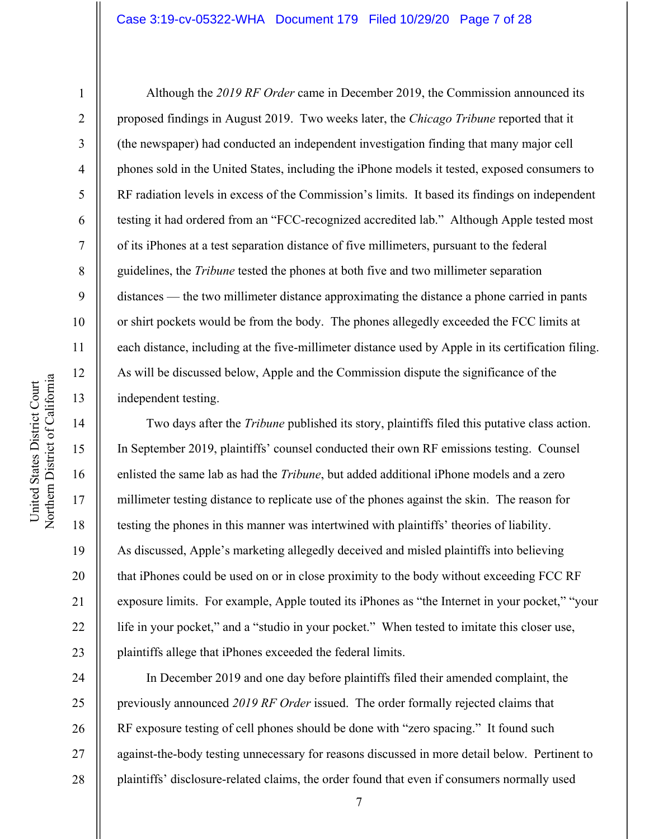## Case 3:19-cv-05322-WHA Document 179 Filed 10/29/20 Page 7 of 28

United States District Court

United States District Court

1

2

3

4

5

6

7

8

9

19

20

21

22

23

Although the *2019 RF Order* came in December 2019, the Commission announced its proposed findings in August 2019. Two weeks later, the *Chicago Tribune* reported that it (the newspaper) had conducted an independent investigation finding that many major cell phones sold in the United States, including the iPhone models it tested, exposed consumers to RF radiation levels in excess of the Commission's limits. It based its findings on independent testing it had ordered from an "FCC-recognized accredited lab." Although Apple tested most of its iPhones at a test separation distance of five millimeters, pursuant to the federal guidelines, the *Tribune* tested the phones at both five and two millimeter separation distances — the two millimeter distance approximating the distance a phone carried in pants or shirt pockets would be from the body. The phones allegedly exceeded the FCC limits at each distance, including at the five-millimeter distance used by Apple in its certification filing. As will be discussed below, Apple and the Commission dispute the significance of the independent testing.

Two days after the *Tribune* published its story, plaintiffs filed this putative class action. In September 2019, plaintiffs' counsel conducted their own RF emissions testing. Counsel enlisted the same lab as had the *Tribune*, but added additional iPhone models and a zero millimeter testing distance to replicate use of the phones against the skin. The reason for testing the phones in this manner was intertwined with plaintiffs' theories of liability. As discussed, Apple's marketing allegedly deceived and misled plaintiffs into believing that iPhones could be used on or in close proximity to the body without exceeding FCC RF exposure limits. For example, Apple touted its iPhones as "the Internet in your pocket," "your life in your pocket," and a "studio in your pocket." When tested to imitate this closer use, plaintiffs allege that iPhones exceeded the federal limits.

24 25 26 27 28 In December 2019 and one day before plaintiffs filed their amended complaint, the previously announced *2019 RF Order* issued. The order formally rejected claims that RF exposure testing of cell phones should be done with "zero spacing." It found such against-the-body testing unnecessary for reasons discussed in more detail below. Pertinent to plaintiffs' disclosure-related claims, the order found that even if consumers normally used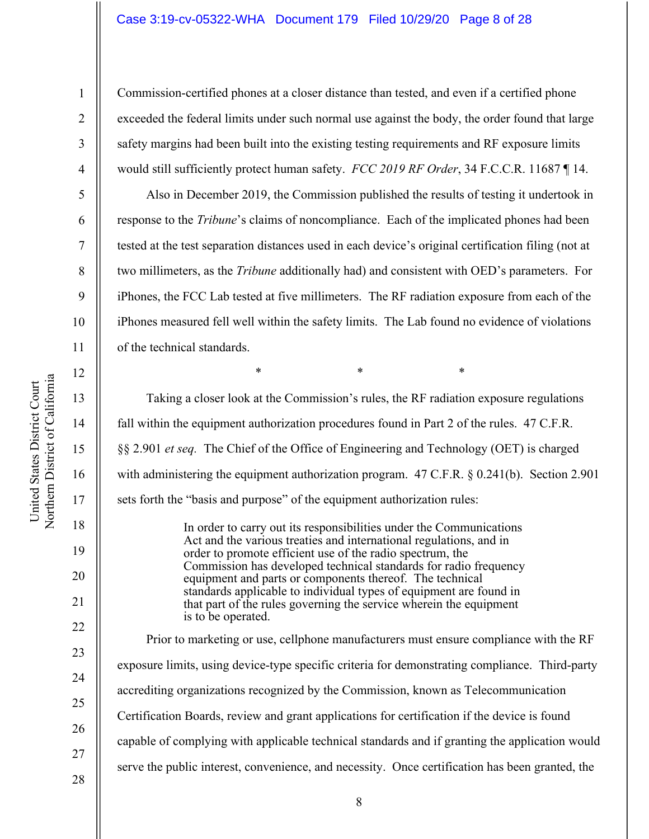#### Case 3:19-cv-05322-WHA Document 179 Filed 10/29/20 Page 8 of 28

Commission-certified phones at a closer distance than tested, and even if a certified phone exceeded the federal limits under such normal use against the body, the order found that large safety margins had been built into the existing testing requirements and RF exposure limits would still sufficiently protect human safety. *FCC 2019 RF Order*, 34 F.C.C.R. 11687 ¶ 14.

Also in December 2019, the Commission published the results of testing it undertook in response to the *Tribune*'s claims of noncompliance. Each of the implicated phones had been tested at the test separation distances used in each device's original certification filing (not at two millimeters, as the *Tribune* additionally had) and consistent with OED's parameters. For iPhones, the FCC Lab tested at five millimeters. The RF radiation exposure from each of the iPhones measured fell well within the safety limits. The Lab found no evidence of violations of the technical standards.

Taking a closer look at the Commission's rules, the RF radiation exposure regulations fall within the equipment authorization procedures found in Part 2 of the rules. 47 C.F.R. §§ 2.901 *et seq.* The Chief of the Office of Engineering and Technology (OET) is charged with administering the equipment authorization program. 47 C.F.R. § 0.241(b). Section 2.901 sets forth the "basis and purpose" of the equipment authorization rules: In order to carry out its responsibilities under the Communications

 $*$  \*  $*$  \*  $*$ 

Act and the various treaties and international regulations, and in order to promote efficient use of the radio spectrum, the Commission has developed technical standards for radio frequency equipment and parts or components thereof. The technical standards applicable to individual types of equipment are found in that part of the rules governing the service wherein the equipment is to be operated.

Prior to marketing or use, cellphone manufacturers must ensure compliance with the RF exposure limits, using device-type specific criteria for demonstrating compliance. Third-party accrediting organizations recognized by the Commission, known as Telecommunication Certification Boards, review and grant applications for certification if the device is found capable of complying with applicable technical standards and if granting the application would serve the public interest, convenience, and necessity. Once certification has been granted, the

United States District Court

United States District Court

1

2

3

4

5

6

7

8

9

10

11

12

13

14

15

16

17

18

19

20

21

22

23

24

25

26

27

28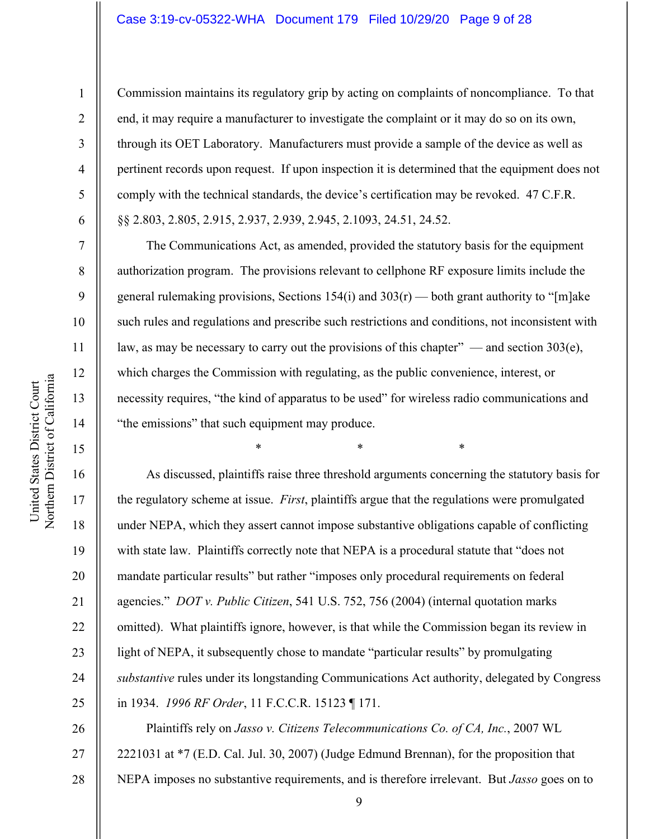### Case 3:19-cv-05322-WHA Document 179 Filed 10/29/20 Page 9 of 28

United States District Court

United States District Court

1

2

3

4

5

6

7

8

9

19

20

21

22

23

24

25

26

27

28

Commission maintains its regulatory grip by acting on complaints of noncompliance. To that end, it may require a manufacturer to investigate the complaint or it may do so on its own, through its OET Laboratory. Manufacturers must provide a sample of the device as well as pertinent records upon request. If upon inspection it is determined that the equipment does not comply with the technical standards, the device's certification may be revoked. 47 C.F.R. §§ 2.803, 2.805, 2.915, 2.937, 2.939, 2.945, 2.1093, 24.51, 24.52.

The Communications Act, as amended, provided the statutory basis for the equipment authorization program. The provisions relevant to cellphone RF exposure limits include the general rulemaking provisions, Sections 154(i) and  $303(r)$  — both grant authority to "[m]ake such rules and regulations and prescribe such restrictions and conditions, not inconsistent with law, as may be necessary to carry out the provisions of this chapter" — and section 303(e), which charges the Commission with regulating, as the public convenience, interest, or necessity requires, "the kind of apparatus to be used" for wireless radio communications and "the emissions" that such equipment may produce.

 $*$  \*  $*$  \*  $*$ 

As discussed, plaintiffs raise three threshold arguments concerning the statutory basis for the regulatory scheme at issue. *First*, plaintiffs argue that the regulations were promulgated under NEPA, which they assert cannot impose substantive obligations capable of conflicting with state law. Plaintiffs correctly note that NEPA is a procedural statute that "does not mandate particular results" but rather "imposes only procedural requirements on federal agencies." *DOT v. Public Citizen*, 541 U.S. 752, 756 (2004) (internal quotation marks omitted). What plaintiffs ignore, however, is that while the Commission began its review in light of NEPA, it subsequently chose to mandate "particular results" by promulgating *substantive* rules under its longstanding Communications Act authority, delegated by Congress in 1934. *1996 RF Order*, 11 F.C.C.R. 15123 ¶ 171.

Plaintiffs rely on *Jasso v. Citizens Telecommunications Co. of CA, Inc.*, 2007 WL 2221031 at \*7 (E.D. Cal. Jul. 30, 2007) (Judge Edmund Brennan), for the proposition that NEPA imposes no substantive requirements, and is therefore irrelevant. But *Jasso* goes on to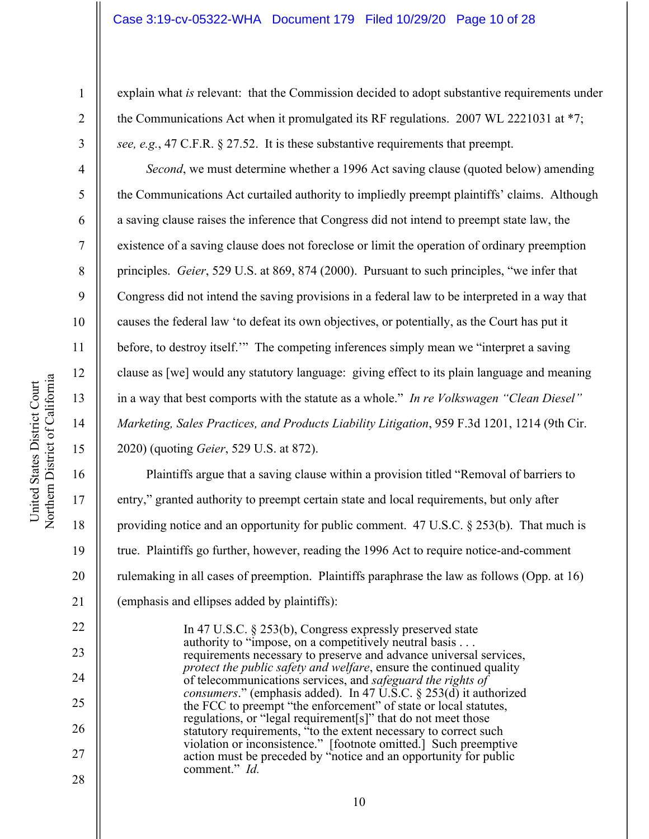### Case 3:19-cv-05322-WHA Document 179 Filed 10/29/20 Page 10 of 28

*Second*, we must determine whether a 1996 Act saving clause (quoted below) amending the Communications Act curtailed authority to impliedly preempt plaintiffs' claims. Although a saving clause raises the inference that Congress did not intend to preempt state law, the existence of a saving clause does not foreclose or limit the operation of ordinary preemption principles. *Geier*, 529 U.S. at 869, 874 (2000). Pursuant to such principles, "we infer that Congress did not intend the saving provisions in a federal law to be interpreted in a way that causes the federal law 'to defeat its own objectives, or potentially, as the Court has put it before, to destroy itself." The competing inferences simply mean we "interpret a saving clause as [we] would any statutory language: giving effect to its plain language and meaning in a way that best comports with the statute as a whole." *In re Volkswagen "Clean Diesel" Marketing, Sales Practices, and Products Liability Litigation*, 959 F.3d 1201, 1214 (9th Cir. 2020) (quoting *Geier*, 529 U.S. at 872).

Plaintiffs argue that a saving clause within a provision titled "Removal of barriers to entry," granted authority to preempt certain state and local requirements, but only after providing notice and an opportunity for public comment. 47 U.S.C.  $\S 253(b)$ . That much is true. Plaintiffs go further, however, reading the 1996 Act to require notice-and-comment rulemaking in all cases of preemption. Plaintiffs paraphrase the law as follows (Opp. at 16) (emphasis and ellipses added by plaintiffs):

In 47 U.S.C. § 253(b), Congress expressly preserved state authority to "impose, on a competitively neutral basis . . . requirements necessary to preserve and advance universal services, *protect the public safety and welfare*, ensure the continued quality of telecommunications services, and *safeguard the rights of consumers*." (emphasis added). In 47 U.S.C. § 253(d) it authorized the FCC to preempt "the enforcement" of state or local statutes, regulations, or "legal requirement[s]" that do not meet those statutory requirements, "to the extent necessary to correct such violation or inconsistence." [footnote omitted.] Such preemptive action must be preceded by "notice and an opportunity for public comment." *Id.*

1

2

3

4

5

6

7

8

9

10

11

12

13

14

15

16

17

18

19

20

21

22

23

24

25

26

27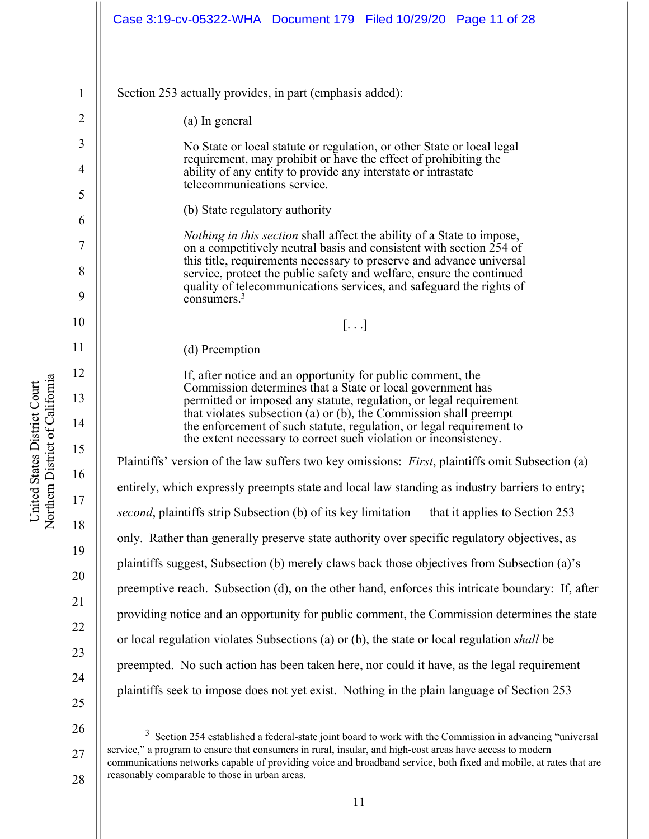|                   | Case 3:19-cv-05322-WHA  Document 179  Filed 10/29/20  Page 11 of 28                                                                                                                                                                                                                 |
|-------------------|-------------------------------------------------------------------------------------------------------------------------------------------------------------------------------------------------------------------------------------------------------------------------------------|
| $\mathbf{1}$<br>2 | Section 253 actually provides, in part (emphasis added):<br>(a) In general                                                                                                                                                                                                          |
| 3                 |                                                                                                                                                                                                                                                                                     |
|                   | No State or local statute or regulation, or other State or local legal<br>requirement, may prohibit or have the effect of prohibiting the                                                                                                                                           |
| 4                 | ability of any entity to provide any interstate or intrastate<br>telecommunications service.                                                                                                                                                                                        |
| 5                 | (b) State regulatory authority                                                                                                                                                                                                                                                      |
| 6                 | <i>Nothing in this section shall affect the ability of a State to impose,</i>                                                                                                                                                                                                       |
| 7                 | on a competitively neutral basis and consistent with section 254 of<br>this title, requirements necessary to preserve and advance universal                                                                                                                                         |
| 8                 | service, protect the public safety and welfare, ensure the continued<br>quality of telecommunications services, and safeguard the rights of                                                                                                                                         |
| 9                 | consumers. $3$                                                                                                                                                                                                                                                                      |
| 10                | $[\ldots]$                                                                                                                                                                                                                                                                          |
| 11                | (d) Preemption                                                                                                                                                                                                                                                                      |
| 12                | If, after notice and an opportunity for public comment, the<br>Commission determines that a State or local government has                                                                                                                                                           |
| 13<br>14          | permitted or imposed any statute, regulation, or legal requirement<br>that violates subsection (a) or (b), the Commission shall preempt<br>the enforcement of such statute, regulation, or legal requirement to<br>the extent necessary to correct such violation or inconsistency. |
| 15                | Plaintiffs' version of the law suffers two key omissions: <i>First</i> , plaintiffs omit Subsection (a)                                                                                                                                                                             |
| 16                | entirely, which expressly preempts state and local law standing as industry barriers to entry;                                                                                                                                                                                      |
| 17                | second, plaintiffs strip Subsection (b) of its key limitation — that it applies to Section 253                                                                                                                                                                                      |
| 18                | only. Rather than generally preserve state authority over specific regulatory objectives, as                                                                                                                                                                                        |
| 19                | plaintiffs suggest, Subsection (b) merely claws back those objectives from Subsection (a)'s                                                                                                                                                                                         |
| 20                | preemptive reach. Subsection (d), on the other hand, enforces this intricate boundary: If, after                                                                                                                                                                                    |
| 21                | providing notice and an opportunity for public comment, the Commission determines the state                                                                                                                                                                                         |
| 22                | or local regulation violates Subsections (a) or (b), the state or local regulation shall be                                                                                                                                                                                         |
| 23                | preempted. No such action has been taken here, nor could it have, as the legal requirement                                                                                                                                                                                          |
| 24<br>25          | plaintiffs seek to impose does not yet exist. Nothing in the plain language of Section 253                                                                                                                                                                                          |
| 26                | $\frac{3}{2}$ Section 254 established a federal state joint board to work with the Commission in advancing "universal                                                                                                                                                               |

<sup>27</sup> 28 Section 254 established a federal-state joint board to work with the Commission in advancing "universal service," a program to ensure that consumers in rural, insular, and high-cost areas have access to modern communications networks capable of providing voice and broadband service, both fixed and mobile, at rates that are reasonably comparable to those in urban areas.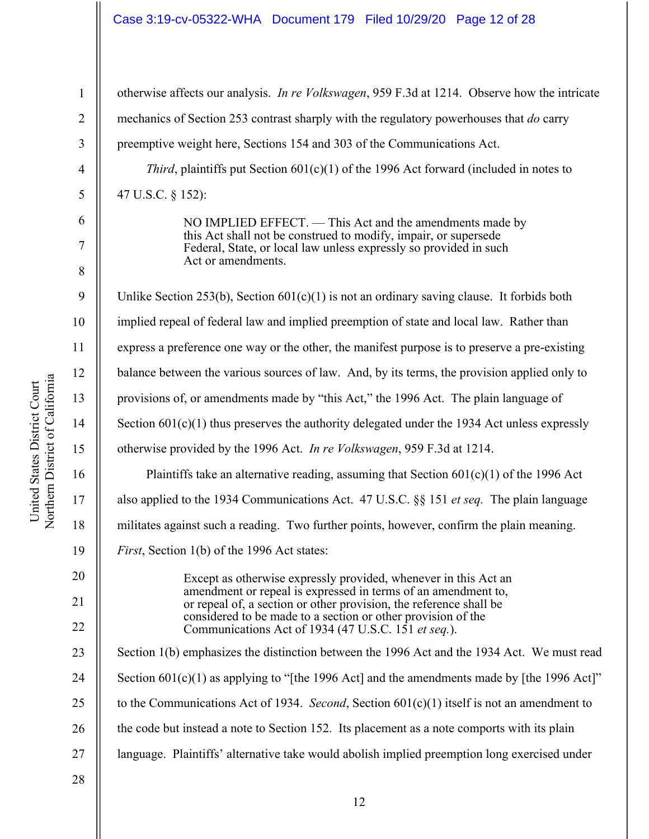### Case 3:19-cv-05322-WHA Document 179 Filed 10/29/20 Page 12 of 28

1 2 3 4 5 6 7 8 9 10 11 12 13 14 15 16 17 18 19 20 21 22 23 24 25 26 27 28 otherwise affects our analysis. *In re Volkswagen*, 959 F.3d at 1214. Observe how the intricate mechanics of Section 253 contrast sharply with the regulatory powerhouses that *do* carry preemptive weight here, Sections 154 and 303 of the Communications Act. *Third*, plaintiffs put Section 601(c)(1) of the 1996 Act forward (included in notes to 47 U.S.C. § 152): NO IMPLIED EFFECT. — This Act and the amendments made by this Act shall not be construed to modify, impair, or supersede Federal, State, or local law unless expressly so provided in such Act or amendments. Unlike Section 253(b), Section 601(c)(1) is not an ordinary saving clause. It forbids both implied repeal of federal law and implied preemption of state and local law. Rather than express a preference one way or the other, the manifest purpose is to preserve a pre-existing balance between the various sources of law. And, by its terms, the provision applied only to provisions of, or amendments made by "this Act," the 1996 Act. The plain language of Section  $601(c)(1)$  thus preserves the authority delegated under the 1934 Act unless expressly otherwise provided by the 1996 Act. *In re Volkswagen*, 959 F.3d at 1214. Plaintiffs take an alternative reading, assuming that Section  $601(c)(1)$  of the 1996 Act also applied to the 1934 Communications Act. 47 U.S.C. §§ 151 *et seq.* The plain language militates against such a reading. Two further points, however, confirm the plain meaning. *First*, Section 1(b) of the 1996 Act states: Except as otherwise expressly provided, whenever in this Act an amendment or repeal is expressed in terms of an amendment to, or repeal of, a section or other provision, the reference shall be considered to be made to a section or other provision of the Communications Act of 1934 (47 U.S.C. 151 *et seq.*). Section 1(b) emphasizes the distinction between the 1996 Act and the 1934 Act. We must read Section  $601(c)(1)$  as applying to "[the 1996 Act] and the amendments made by [the 1996 Act]" to the Communications Act of 1934. *Second*, Section 601(c)(1) itself is not an amendment to the code but instead a note to Section 152. Its placement as a note comports with its plain language. Plaintiffs' alternative take would abolish implied preemption long exercised under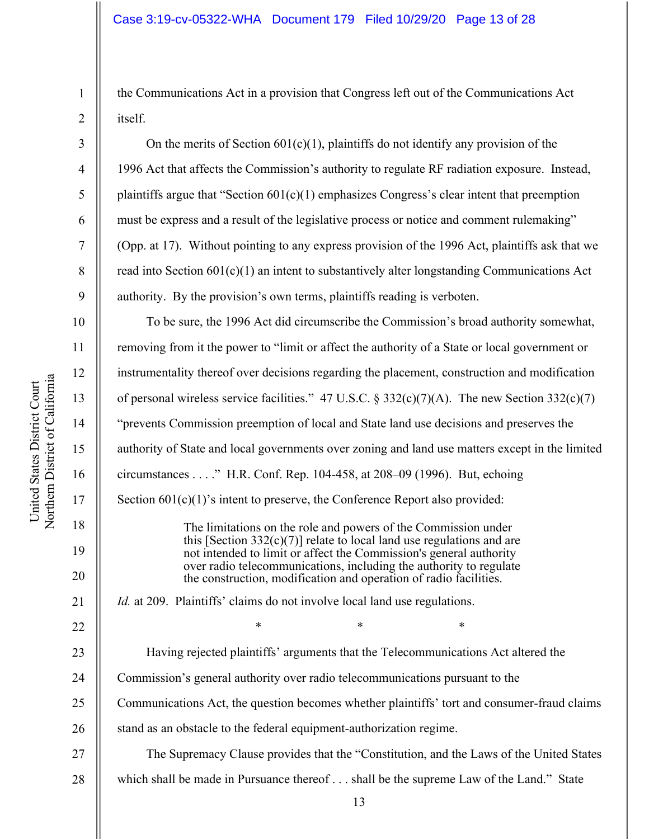the Communications Act in a provision that Congress left out of the Communications Act itself.

On the merits of Section  $601(c)(1)$ , plaintiffs do not identify any provision of the 1996 Act that affects the Commission's authority to regulate RF radiation exposure. Instead, plaintiffs argue that "Section  $601(c)(1)$  emphasizes Congress's clear intent that preemption must be express and a result of the legislative process or notice and comment rulemaking" (Opp. at 17). Without pointing to any express provision of the 1996 Act, plaintiffs ask that we read into Section  $601(c)(1)$  an intent to substantively alter longstanding Communications Act authority. By the provision's own terms, plaintiffs reading is verboten.

To be sure, the 1996 Act did circumscribe the Commission's broad authority somewhat, removing from it the power to "limit or affect the authority of a State or local government or instrumentality thereof over decisions regarding the placement, construction and modification of personal wireless service facilities." 47 U.S.C.  $\S 332(c)(7)(A)$ . The new Section 332(c)(7) "prevents Commission preemption of local and State land use decisions and preserves the authority of State and local governments over zoning and land use matters except in the limited circumstances . . . ." H.R. Conf. Rep. 104-458, at 208–09 (1996). But, echoing Section  $601(c)(1)$ 's intent to preserve, the Conference Report also provided: The limitations on the role and powers of the Commission under this [Section  $332(c)(7)$ ] relate to local land use regulations and are not intended to limit or affect the Commission's general authority over radio telecommunications, including the authority to regulate the construction, modification and operation of radio facilities. *Id.* at 209. Plaintiffs' claims do not involve local land use regulations.  $*$  \*  $*$  \*  $*$ Having rejected plaintiffs' arguments that the Telecommunications Act altered the Commission's general authority over radio telecommunications pursuant to the Communications Act, the question becomes whether plaintiffs' tort and consumer-fraud claims stand as an obstacle to the federal equipment-authorization regime. The Supremacy Clause provides that the "Constitution, and the Laws of the United States which shall be made in Pursuance thereof . . . shall be the supreme Law of the Land." State

1

2

3

4

5

6

7

8

9

10

11

12

13

14

15

16

17

18

19

20

21

22

23

24

25

26

27

28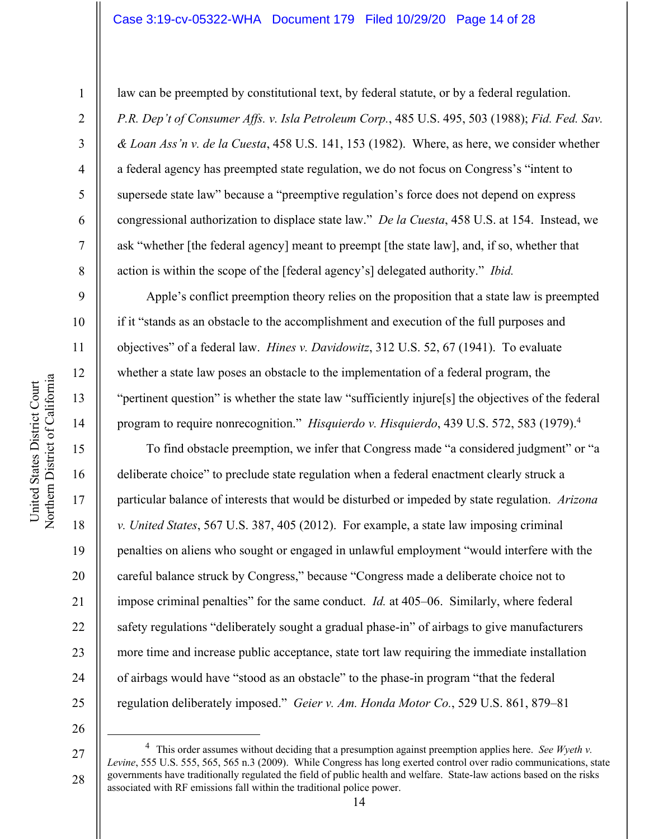## Case 3:19-cv-05322-WHA Document 179 Filed 10/29/20 Page 14 of 28

1

2

3

4

5

6

7

8

9

10

11

12

13

14

15

16

17

18

19

20

21

22

23

24

25

law can be preempted by constitutional text, by federal statute, or by a federal regulation. *P.R. Dep't of Consumer Affs. v. Isla Petroleum Corp.*, 485 U.S. 495, 503 (1988); *Fid. Fed. Sav. & Loan Ass'n v. de la Cuesta*, 458 U.S. 141, 153 (1982). Where, as here, we consider whether a federal agency has preempted state regulation, we do not focus on Congress's "intent to supersede state law" because a "preemptive regulation's force does not depend on express congressional authorization to displace state law." *De la Cuesta*, 458 U.S. at 154. Instead, we ask "whether [the federal agency] meant to preempt [the state law], and, if so, whether that action is within the scope of the [federal agency's] delegated authority." *Ibid.*

Apple's conflict preemption theory relies on the proposition that a state law is preempted if it "stands as an obstacle to the accomplishment and execution of the full purposes and objectives" of a federal law. *Hines v. Davidowitz*, 312 U.S. 52, 67 (1941). To evaluate whether a state law poses an obstacle to the implementation of a federal program, the "pertinent question" is whether the state law "sufficiently injure[s] the objectives of the federal program to require nonrecognition." *Hisquierdo v. Hisquierdo*, 439 U.S. 572, 583 (1979).4

To find obstacle preemption, we infer that Congress made "a considered judgment" or "a deliberate choice" to preclude state regulation when a federal enactment clearly struck a particular balance of interests that would be disturbed or impeded by state regulation. *Arizona v. United States*, 567 U.S. 387, 405 (2012). For example, a state law imposing criminal penalties on aliens who sought or engaged in unlawful employment "would interfere with the careful balance struck by Congress," because "Congress made a deliberate choice not to impose criminal penalties" for the same conduct. *Id.* at 405–06. Similarly, where federal safety regulations "deliberately sought a gradual phase-in" of airbags to give manufacturers more time and increase public acceptance, state tort law requiring the immediate installation of airbags would have "stood as an obstacle" to the phase-in program "that the federal regulation deliberately imposed." *Geier v. Am. Honda Motor Co.*, 529 U.S. 861, 879–81

26

27

<sup>4</sup> This order assumes without deciding that a presumption against preemption applies here. *See Wyeth v. Levine*, 555 U.S. 555, 565, 565 n.3 (2009). While Congress has long exerted control over radio communications, state governments have traditionally regulated the field of public health and welfare. State-law actions based on the risks associated with RF emissions fall within the traditional police power.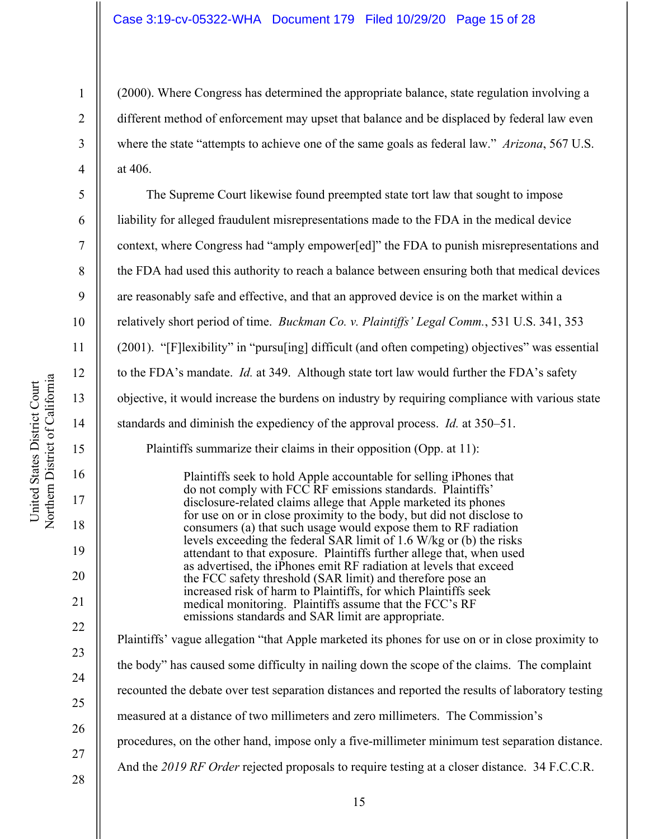(2000). Where Congress has determined the appropriate balance, state regulation involving a different method of enforcement may upset that balance and be displaced by federal law even where the state "attempts to achieve one of the same goals as federal law." *Arizona*, 567 U.S. at 406.

The Supreme Court likewise found preempted state tort law that sought to impose liability for alleged fraudulent misrepresentations made to the FDA in the medical device context, where Congress had "amply empower[ed]" the FDA to punish misrepresentations and the FDA had used this authority to reach a balance between ensuring both that medical devices are reasonably safe and effective, and that an approved device is on the market within a relatively short period of time. *Buckman Co. v. Plaintiffs' Legal Comm.*, 531 U.S. 341, 353 (2001). "[F]lexibility" in "pursu[ing] difficult (and often competing) objectives" was essential to the FDA's mandate. *Id.* at 349. Although state tort law would further the FDA's safety objective, it would increase the burdens on industry by requiring compliance with various state standards and diminish the expediency of the approval process. *Id.* at 350–51. Plaintiffs summarize their claims in their opposition (Opp. at 11): Plaintiffs seek to hold Apple accountable for selling iPhones that do not comply with FCC RF emissions standards. Plaintiffs'

disclosure-related claims allege that Apple marketed its phones for use on or in close proximity to the body, but did not disclose to consumers (a) that such usage would expose them to RF radiation levels exceeding the federal SAR limit of 1.6 W/kg or (b) the risks attendant to that exposure. Plaintiffs further allege that, when used as advertised, the iPhones emit RF radiation at levels that exceed the FCC safety threshold (SAR limit) and therefore pose an increased risk of harm to Plaintiffs, for which Plaintiffs seek medical monitoring. Plaintiffs assume that the FCC's RF emissions standards and SAR limit are appropriate.

Plaintiffs' vague allegation "that Apple marketed its phones for use on or in close proximity to the body" has caused some difficulty in nailing down the scope of the claims. The complaint recounted the debate over test separation distances and reported the results of laboratory testing measured at a distance of two millimeters and zero millimeters. The Commission's procedures, on the other hand, impose only a five-millimeter minimum test separation distance. And the *2019 RF Order* rejected proposals to require testing at a closer distance. 34 F.C.C.R.

United States District Court

United States District Court

1

2

3

4

5

6

7

8

9

10

11

12

13

14

15

16

17

18

19

20

21

22

23

24

25

26

27

28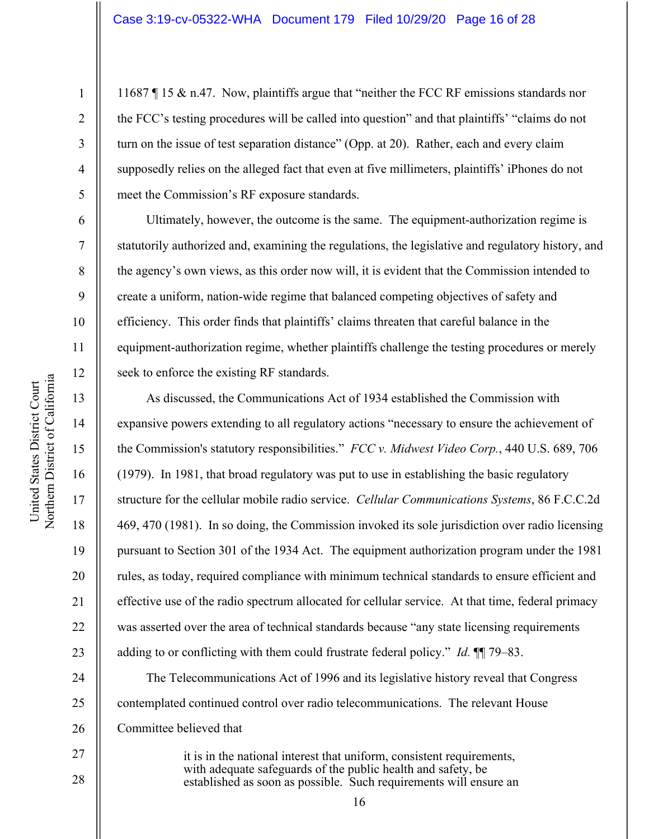11687 ¶ 15 & n.47. Now, plaintiffs argue that "neither the FCC RF emissions standards nor the FCC's testing procedures will be called into question" and that plaintiffs' "claims do not turn on the issue of test separation distance" (Opp. at 20). Rather, each and every claim supposedly relies on the alleged fact that even at five millimeters, plaintiffs' iPhones do not meet the Commission's RF exposure standards.

Ultimately, however, the outcome is the same. The equipment-authorization regime is statutorily authorized and, examining the regulations, the legislative and regulatory history, and the agency's own views, as this order now will, it is evident that the Commission intended to create a uniform, nation-wide regime that balanced competing objectives of safety and efficiency. This order finds that plaintiffs' claims threaten that careful balance in the equipment-authorization regime, whether plaintiffs challenge the testing procedures or merely seek to enforce the existing RF standards.

As discussed, the Communications Act of 1934 established the Commission with expansive powers extending to all regulatory actions "necessary to ensure the achievement of the Commission's statutory responsibilities." *FCC v. Midwest Video Corp.*, 440 U.S. 689, 706 (1979). In 1981, that broad regulatory was put to use in establishing the basic regulatory structure for the cellular mobile radio service. *Cellular Communications Systems*, 86 F.C.C.2d 469, 470 (1981). In so doing, the Commission invoked its sole jurisdiction over radio licensing pursuant to Section 301 of the 1934 Act. The equipment authorization program under the 1981 rules, as today, required compliance with minimum technical standards to ensure efficient and effective use of the radio spectrum allocated for cellular service. At that time, federal primacy was asserted over the area of technical standards because "any state licensing requirements adding to or conflicting with them could frustrate federal policy." *Id.* ¶¶ 79–83.

The Telecommunications Act of 1996 and its legislative history reveal that Congress contemplated continued control over radio telecommunications. The relevant House Committee believed that

> it is in the national interest that uniform, consistent requirements, with adequate safeguards of the public health and safety, be established as soon as possible. Such requirements will ensure an

1

2

3

4

5

6

7

8

9

10

11

12

13

14

15

16

17

18

19

20

21

22

23

24

25

26

27

28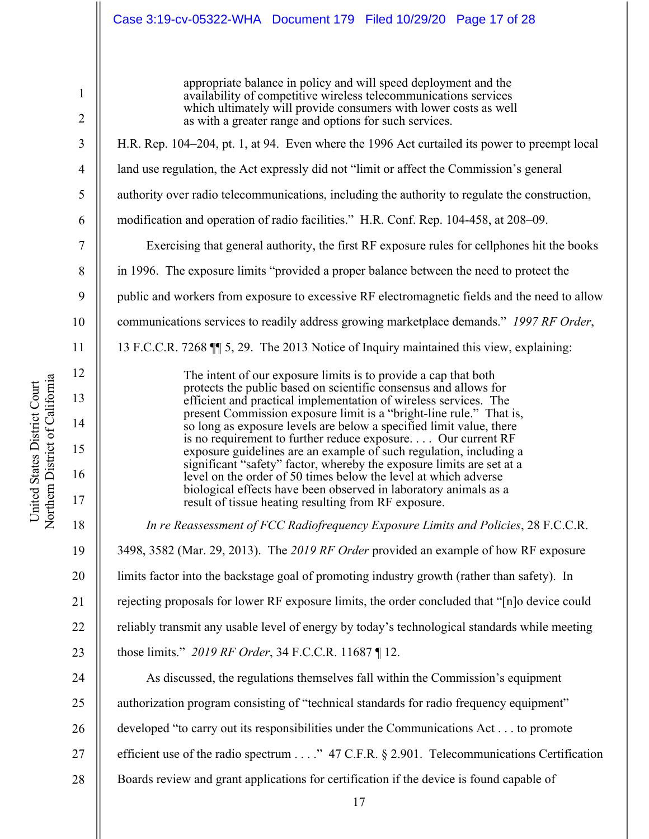## Case 3:19-cv-05322-WHA Document 179 Filed 10/29/20 Page 17 of 28

1 2 3 4 5 6 7 8 9 10 11 12 13 14 15 16 17 18 19 20 21 22 23 24 25 26 27 28 appropriate balance in policy and will speed deployment and the availability of competitive wireless telecommunications services which ultimately will provide consumers with lower costs as well as with a greater range and options for such services. H.R. Rep. 104–204, pt. 1, at 94. Even where the 1996 Act curtailed its power to preempt local land use regulation, the Act expressly did not "limit or affect the Commission's general authority over radio telecommunications, including the authority to regulate the construction, modification and operation of radio facilities." H.R. Conf. Rep. 104-458, at 208–09. Exercising that general authority, the first RF exposure rules for cellphones hit the books in 1996. The exposure limits "provided a proper balance between the need to protect the public and workers from exposure to excessive RF electromagnetic fields and the need to allow communications services to readily address growing marketplace demands." *1997 RF Order*, 13 F.C.C.R. 7268 ¶¶ 5, 29. The 2013 Notice of Inquiry maintained this view, explaining: The intent of our exposure limits is to provide a cap that both protects the public based on scientific consensus and allows for efficient and practical implementation of wireless services. The present Commission exposure limit is a "bright-line rule." That is, so long as exposure levels are below a specified limit value, there is no requirement to further reduce exposure. . . . Our current RF exposure guidelines are an example of such regulation, including a significant "safety" factor, whereby the exposure limits are set at a level on the order of 50 times below the level at which adverse biological effects have been observed in laboratory animals as a result of tissue heating resulting from RF exposure. *In re Reassessment of FCC Radiofrequency Exposure Limits and Policies*, 28 F.C.C.R. 3498, 3582 (Mar. 29, 2013). The *2019 RF Order* provided an example of how RF exposure limits factor into the backstage goal of promoting industry growth (rather than safety). In rejecting proposals for lower RF exposure limits, the order concluded that "[n]o device could reliably transmit any usable level of energy by today's technological standards while meeting those limits." *2019 RF Order*, 34 F.C.C.R. 11687 ¶ 12. As discussed, the regulations themselves fall within the Commission's equipment authorization program consisting of "technical standards for radio frequency equipment" developed "to carry out its responsibilities under the Communications Act . . . to promote efficient use of the radio spectrum . . . ." 47 C.F.R. § 2.901. Telecommunications Certification Boards review and grant applications for certification if the device is found capable of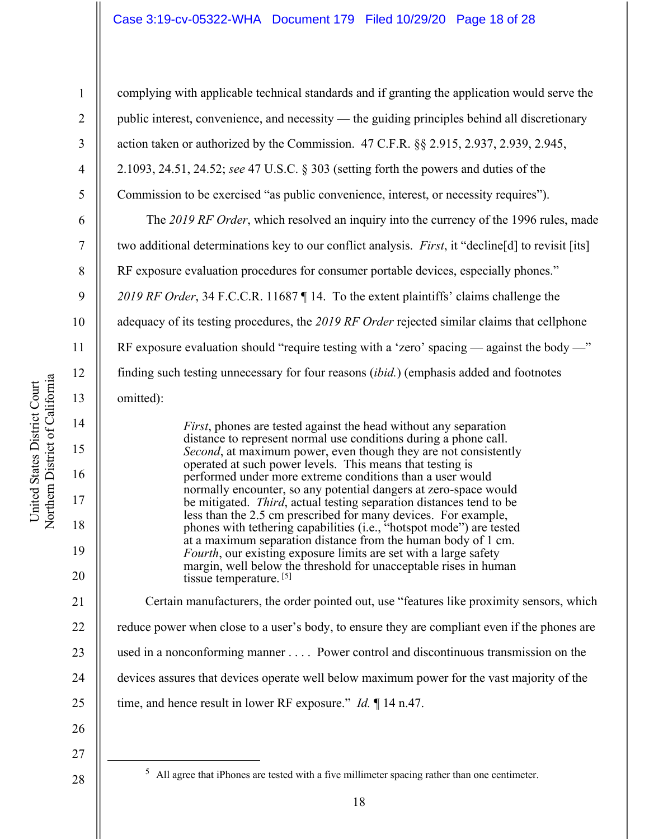## Case 3:19-cv-05322-WHA Document 179 Filed 10/29/20 Page 18 of 28

10 11 12 Northern District of California Northern District of California United States District Court 13 14 15 16 17 18

United States District Court

1

2

3

4

5

6

7

8

9

complying with applicable technical standards and if granting the application would serve the public interest, convenience, and necessity — the guiding principles behind all discretionary action taken or authorized by the Commission. 47 C.F.R. §§ 2.915, 2.937, 2.939, 2.945, 2.1093, 24.51, 24.52; *see* 47 U.S.C. § 303 (setting forth the powers and duties of the Commission to be exercised "as public convenience, interest, or necessity requires"). The *2019 RF Order*, which resolved an inquiry into the currency of the 1996 rules, made two additional determinations key to our conflict analysis. *First*, it "decline[d] to revisit [its] RF exposure evaluation procedures for consumer portable devices, especially phones." *2019 RF Order*, 34 F.C.C.R. 11687 ¶ 14. To the extent plaintiffs' claims challenge the adequacy of its testing procedures, the *2019 RF Order* rejected similar claims that cellphone RF exposure evaluation should "require testing with a 'zero' spacing — against the body —" finding such testing unnecessary for four reasons (*ibid.*) (emphasis added and footnotes omitted): *First*, phones are tested against the head without any separation

distance to represent normal use conditions during a phone call. *Second*, at maximum power, even though they are not consistently operated at such power levels. This means that testing is performed under more extreme conditions than a user would normally encounter, so any potential dangers at zero-space would be mitigated. *Third*, actual testing separation distances tend to be less than the 2.5 cm prescribed for many devices. For example, phones with tethering capabilities (i.e., "hotspot mode") are tested at a maximum separation distance from the human body of 1 cm. *Fourth*, our existing exposure limits are set with a large safety margin, well below the threshold for unacceptable rises in human tissue temperature. [5]

Certain manufacturers, the order pointed out, use "features like proximity sensors, which reduce power when close to a user's body, to ensure they are compliant even if the phones are used in a nonconforming manner . . . . Power control and discontinuous transmission on the devices assures that devices operate well below maximum power for the vast majority of the time, and hence result in lower RF exposure." *Id.* ¶ 14 n.47.

27

19

20

21

22

23

24

25

26

28

 $<sup>5</sup>$  All agree that iPhones are tested with a five millimeter spacing rather than one centimeter.</sup>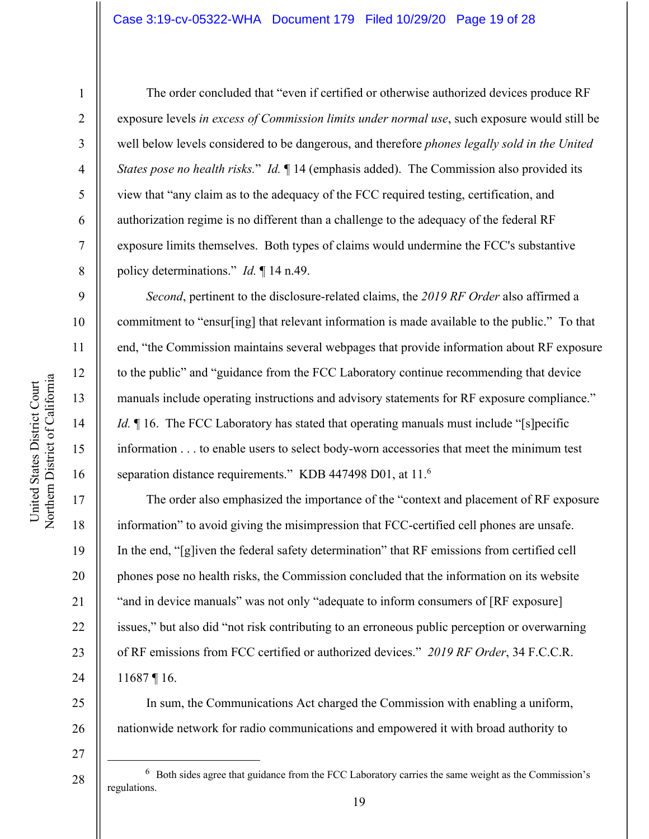## Case 3:19-cv-05322-WHA Document 179 Filed 10/29/20 Page 19 of 28

1

2

3

4

5

6

7

8

9

10

11

12

13

14

15

16

17

18

19

20

21

22

23

24

25

26

27

The order concluded that "even if certified or otherwise authorized devices produce RF exposure levels *in excess of Commission limits under normal use*, such exposure would still be well below levels considered to be dangerous, and therefore *phones legally sold in the United States pose no health risks.*" *Id.* ¶ 14 (emphasis added). The Commission also provided its view that "any claim as to the adequacy of the FCC required testing, certification, and authorization regime is no different than a challenge to the adequacy of the federal RF exposure limits themselves. Both types of claims would undermine the FCC's substantive policy determinations." *Id.* ¶ 14 n.49.

*Second*, pertinent to the disclosure-related claims, the *2019 RF Order* also affirmed a commitment to "ensur[ing] that relevant information is made available to the public." To that end, "the Commission maintains several webpages that provide information about RF exposure to the public" and "guidance from the FCC Laboratory continue recommending that device manuals include operating instructions and advisory statements for RF exposure compliance." *Id.* 16. The FCC Laboratory has stated that operating manuals must include "[s]pecific information . . . to enable users to select body-worn accessories that meet the minimum test separation distance requirements." KDB 447498 D01, at 11.<sup>6</sup>

The order also emphasized the importance of the "context and placement of RF exposure information" to avoid giving the misimpression that FCC-certified cell phones are unsafe. In the end, "[g]iven the federal safety determination" that RF emissions from certified cell phones pose no health risks, the Commission concluded that the information on its website "and in device manuals" was not only "adequate to inform consumers of [RF exposure] issues," but also did "not risk contributing to an erroneous public perception or overwarning of RF emissions from FCC certified or authorized devices." *2019 RF Order*, 34 F.C.C.R. 11687 ¶ 16.

In sum, the Communications Act charged the Commission with enabling a uniform, nationwide network for radio communications and empowered it with broad authority to

28

 $6\,$  Both sides agree that guidance from the FCC Laboratory carries the same weight as the Commission's regulations.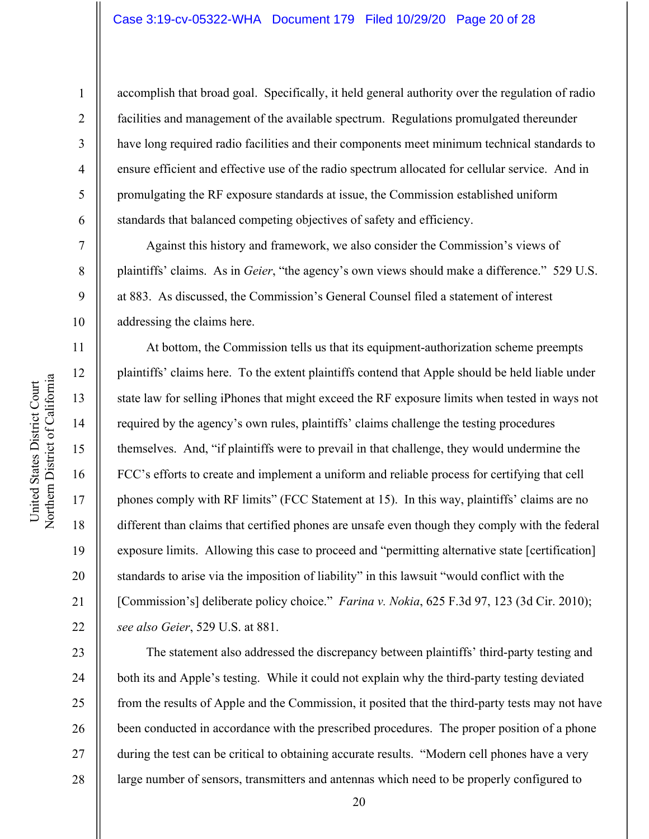## Case 3:19-cv-05322-WHA Document 179 Filed 10/29/20 Page 20 of 28

1

2

3

4

5

6

7

8

9

19

20

21

22

accomplish that broad goal. Specifically, it held general authority over the regulation of radio facilities and management of the available spectrum. Regulations promulgated thereunder have long required radio facilities and their components meet minimum technical standards to ensure efficient and effective use of the radio spectrum allocated for cellular service. And in promulgating the RF exposure standards at issue, the Commission established uniform standards that balanced competing objectives of safety and efficiency.

Against this history and framework, we also consider the Commission's views of plaintiffs' claims. As in *Geier*, "the agency's own views should make a difference." 529 U.S. at 883. As discussed, the Commission's General Counsel filed a statement of interest addressing the claims here.

At bottom, the Commission tells us that its equipment-authorization scheme preempts plaintiffs' claims here. To the extent plaintiffs contend that Apple should be held liable under state law for selling iPhones that might exceed the RF exposure limits when tested in ways not required by the agency's own rules, plaintiffs' claims challenge the testing procedures themselves. And, "if plaintiffs were to prevail in that challenge, they would undermine the FCC's efforts to create and implement a uniform and reliable process for certifying that cell phones comply with RF limits" (FCC Statement at 15). In this way, plaintiffs' claims are no different than claims that certified phones are unsafe even though they comply with the federal exposure limits. Allowing this case to proceed and "permitting alternative state [certification] standards to arise via the imposition of liability" in this lawsuit "would conflict with the [Commission's] deliberate policy choice." *Farina v. Nokia*, 625 F.3d 97, 123 (3d Cir. 2010); *see also Geier*, 529 U.S. at 881.

23 24 25 26 27 28 The statement also addressed the discrepancy between plaintiffs' third-party testing and both its and Apple's testing. While it could not explain why the third-party testing deviated from the results of Apple and the Commission, it posited that the third-party tests may not have been conducted in accordance with the prescribed procedures. The proper position of a phone during the test can be critical to obtaining accurate results. "Modern cell phones have a very large number of sensors, transmitters and antennas which need to be properly configured to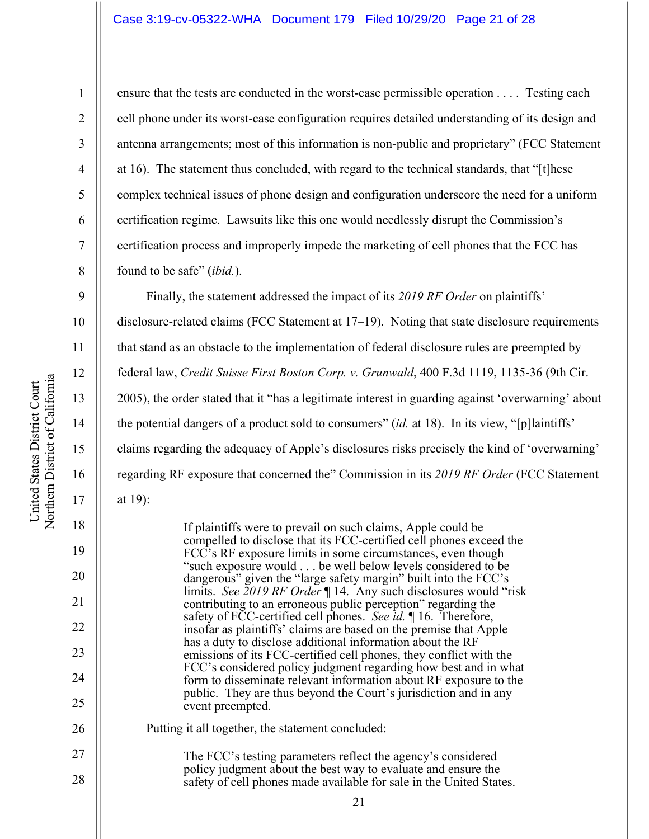## Case 3:19-cv-05322-WHA Document 179 Filed 10/29/20 Page 21 of 28

United States District Court

United States District Court

1

2

3

4

5

6

7

8

9

19

at 19):

20

21

22

23

24

25

26

27

28

ensure that the tests are conducted in the worst-case permissible operation . . . . Testing each cell phone under its worst-case configuration requires detailed understanding of its design and antenna arrangements; most of this information is non-public and proprietary" (FCC Statement at 16). The statement thus concluded, with regard to the technical standards, that "[t]hese complex technical issues of phone design and configuration underscore the need for a uniform certification regime. Lawsuits like this one would needlessly disrupt the Commission's certification process and improperly impede the marketing of cell phones that the FCC has found to be safe" (*ibid.*).

Finally, the statement addressed the impact of its *2019 RF Order* on plaintiffs'

disclosure-related claims (FCC Statement at 17–19). Noting that state disclosure requirements that stand as an obstacle to the implementation of federal disclosure rules are preempted by federal law, *Credit Suisse First Boston Corp. v. Grunwald*, 400 F.3d 1119, 1135-36 (9th Cir. 2005), the order stated that it "has a legitimate interest in guarding against 'overwarning' about the potential dangers of a product sold to consumers" (*id.* at 18). In its view, "[p]laintiffs' claims regarding the adequacy of Apple's disclosures risks precisely the kind of 'overwarning' regarding RF exposure that concerned the" Commission in its *2019 RF Order* (FCC Statement

If plaintiffs were to prevail on such claims, Apple could be compelled to disclose that its FCC-certified cell phones exceed the FCC's RF exposure limits in some circumstances, even though "such exposure would . . . be well below levels considered to be dangerous" given the "large safety margin" built into the FCC's limits. *See 2019 RF Order* ¶ 14. Any such disclosures would "risk contributing to an erroneous public perception" regarding the safety of FCC-certified cell phones. *See id.* ¶ 16. Therefore, insofar as plaintiffs' claims are based on the premise that Apple has a duty to disclose additional information about the RF emissions of its FCC-certified cell phones, they conflict with the FCC's considered policy judgment regarding how best and in what form to disseminate relevant information about RF exposure to the public. They are thus beyond the Court's jurisdiction and in any event preempted. Putting it all together, the statement concluded:

The FCC's testing parameters reflect the agency's considered policy judgment about the best way to evaluate and ensure the safety of cell phones made available for sale in the United States.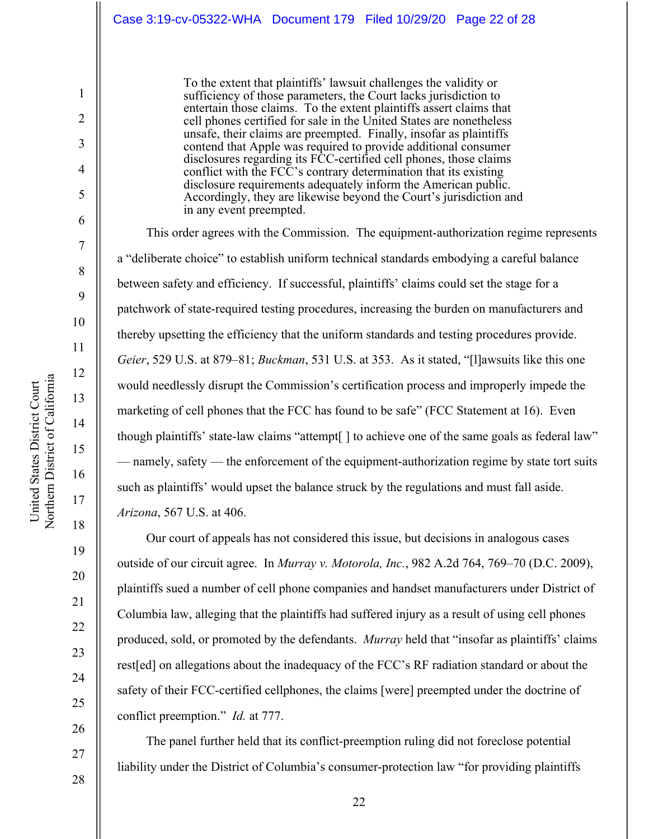To the extent that plaintiffs' lawsuit challenges the validity or sufficiency of those parameters, the Court lacks jurisdiction to entertain those claims. To the extent plaintiffs assert claims that cell phones certified for sale in the United States are nonetheless unsafe, their claims are preempted. Finally, insofar as plaintiffs contend that Apple was required to provide additional consumer disclosures regarding its FCC-certified cell phones, those claims conflict with the FCC's contrary determination that its existing disclosure requirements adequately inform the American public. Accordingly, they are likewise beyond the Court's jurisdiction and in any event preempted.

This order agrees with the Commission. The equipment-authorization regime represents a "deliberate choice" to establish uniform technical standards embodying a careful balance between safety and efficiency. If successful, plaintiffs' claims could set the stage for a patchwork of state-required testing procedures, increasing the burden on manufacturers and thereby upsetting the efficiency that the uniform standards and testing procedures provide. *Geier*, 529 U.S. at 879–81; *Buckman*, 531 U.S. at 353. As it stated, "[l]awsuits like this one would needlessly disrupt the Commission's certification process and improperly impede the marketing of cell phones that the FCC has found to be safe" (FCC Statement at 16). Even though plaintiffs' state-law claims "attempt[ ] to achieve one of the same goals as federal law" — namely, safety — the enforcement of the equipment-authorization regime by state tort suits such as plaintiffs' would upset the balance struck by the regulations and must fall aside. *Arizona*, 567 U.S. at 406.

Our court of appeals has not considered this issue, but decisions in analogous cases outside of our circuit agree. In *Murray v. Motorola, Inc.*, 982 A.2d 764, 769–70 (D.C. 2009), plaintiffs sued a number of cell phone companies and handset manufacturers under District of Columbia law, alleging that the plaintiffs had suffered injury as a result of using cell phones produced, sold, or promoted by the defendants. *Murray* held that "insofar as plaintiffs' claims rest[ed] on allegations about the inadequacy of the FCC's RF radiation standard or about the safety of their FCC-certified cellphones, the claims [were] preempted under the doctrine of conflict preemption." *Id.* at 777.

The panel further held that its conflict-preemption ruling did not foreclose potential liability under the District of Columbia's consumer-protection law "for providing plaintiffs

United States District Court

1

2

3

4

5

6

7

8

9

10

11

12

13

14

15

16

17

18

19

20

21

22

23

24

25

26

27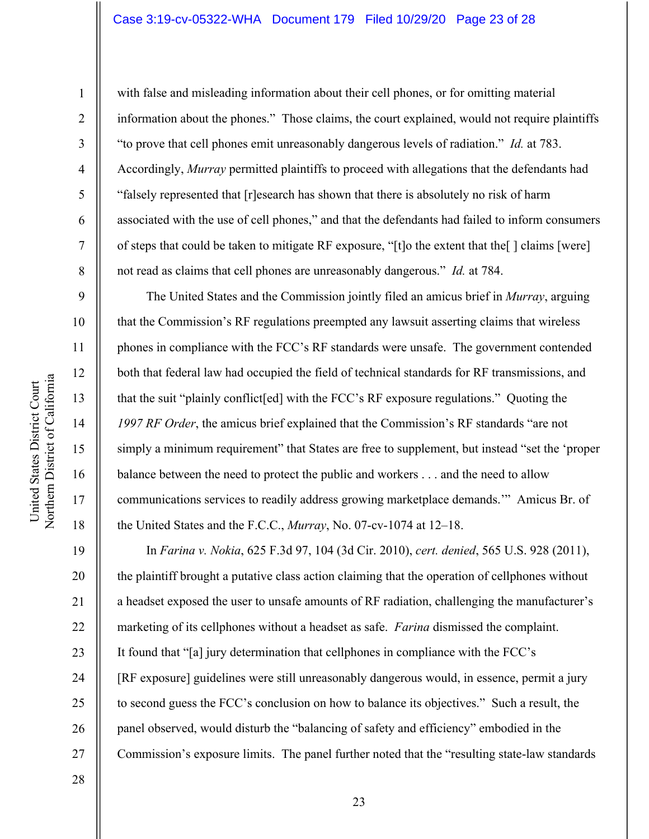# Case 3:19-cv-05322-WHA Document 179 Filed 10/29/20 Page 23 of 28

United States District Court

1

2

3

4

5

6

7

8

9

10

12

13

16

17

18

19

20

21

22

23

24

25

26

27

with false and misleading information about their cell phones, or for omitting material information about the phones." Those claims, the court explained, would not require plaintiffs "to prove that cell phones emit unreasonably dangerous levels of radiation." *Id.* at 783. Accordingly, *Murray* permitted plaintiffs to proceed with allegations that the defendants had "falsely represented that [r]esearch has shown that there is absolutely no risk of harm associated with the use of cell phones," and that the defendants had failed to inform consumers of steps that could be taken to mitigate RF exposure, "[t]o the extent that the[ ] claims [were] not read as claims that cell phones are unreasonably dangerous." *Id.* at 784.

The United States and the Commission jointly filed an amicus brief in *Murray*, arguing that the Commission's RF regulations preempted any lawsuit asserting claims that wireless phones in compliance with the FCC's RF standards were unsafe. The government contended both that federal law had occupied the field of technical standards for RF transmissions, and that the suit "plainly conflict[ed] with the FCC's RF exposure regulations." Quoting the *1997 RF Order*, the amicus brief explained that the Commission's RF standards "are not simply a minimum requirement" that States are free to supplement, but instead "set the 'proper balance between the need to protect the public and workers . . . and the need to allow communications services to readily address growing marketplace demands.'" Amicus Br. of the United States and the F.C.C., *Murray*, No. 07-cv-1074 at 12–18.

In *Farina v. Nokia*, 625 F.3d 97, 104 (3d Cir. 2010), *cert. denied*, 565 U.S. 928 (2011), the plaintiff brought a putative class action claiming that the operation of cellphones without a headset exposed the user to unsafe amounts of RF radiation, challenging the manufacturer's marketing of its cellphones without a headset as safe. *Farina* dismissed the complaint. It found that "[a] jury determination that cellphones in compliance with the FCC's [RF exposure] guidelines were still unreasonably dangerous would, in essence, permit a jury to second guess the FCC's conclusion on how to balance its objectives." Such a result, the panel observed, would disturb the "balancing of safety and efficiency" embodied in the Commission's exposure limits. The panel further noted that the "resulting state-law standards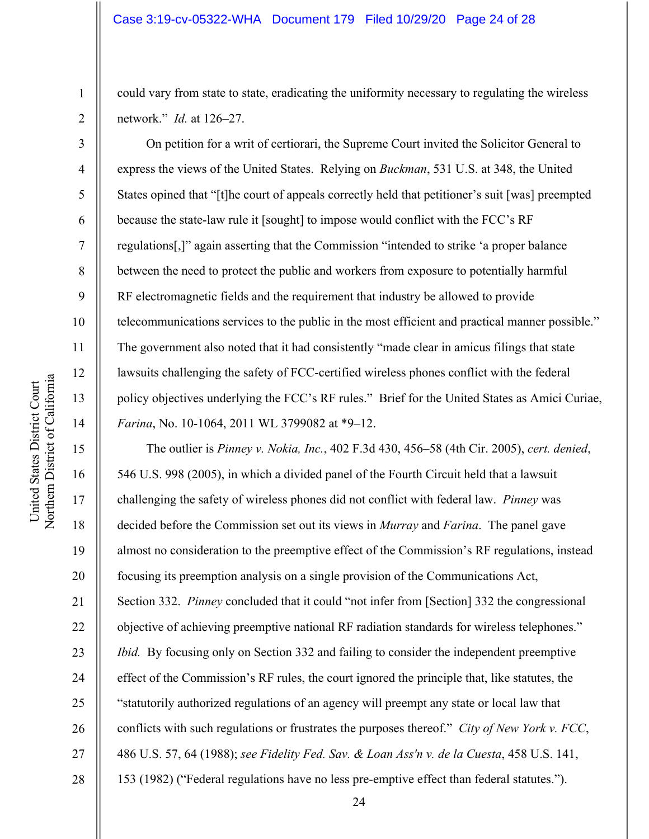could vary from state to state, eradicating the uniformity necessary to regulating the wireless network." *Id.* at 126–27.

On petition for a writ of certiorari, the Supreme Court invited the Solicitor General to express the views of the United States. Relying on *Buckman*, 531 U.S. at 348, the United States opined that "[t]he court of appeals correctly held that petitioner's suit [was] preempted because the state-law rule it [sought] to impose would conflict with the FCC's RF regulations[,]" again asserting that the Commission "intended to strike 'a proper balance between the need to protect the public and workers from exposure to potentially harmful RF electromagnetic fields and the requirement that industry be allowed to provide telecommunications services to the public in the most efficient and practical manner possible." The government also noted that it had consistently "made clear in amicus filings that state lawsuits challenging the safety of FCC-certified wireless phones conflict with the federal policy objectives underlying the FCC's RF rules." Brief for the United States as Amici Curiae, *Farina*, No. 10-1064, 2011 WL 3799082 at \*9–12.

The outlier is *Pinney v. Nokia, Inc.*, 402 F.3d 430, 456–58 (4th Cir. 2005), *cert. denied*, 546 U.S. 998 (2005), in which a divided panel of the Fourth Circuit held that a lawsuit challenging the safety of wireless phones did not conflict with federal law. *Pinney* was decided before the Commission set out its views in *Murray* and *Farina*. The panel gave almost no consideration to the preemptive effect of the Commission's RF regulations, instead focusing its preemption analysis on a single provision of the Communications Act, Section 332. *Pinney* concluded that it could "not infer from [Section] 332 the congressional objective of achieving preemptive national RF radiation standards for wireless telephones." *Ibid.* By focusing only on Section 332 and failing to consider the independent preemptive effect of the Commission's RF rules, the court ignored the principle that, like statutes, the "statutorily authorized regulations of an agency will preempt any state or local law that conflicts with such regulations or frustrates the purposes thereof." *City of New York v. FCC*, 486 U.S. 57, 64 (1988); *see Fidelity Fed. Sav. & Loan Ass'n v. de la Cuesta*, 458 U.S. 141, 153 (1982) ("Federal regulations have no less pre-emptive effect than federal statutes.").

1

2

3

4

5

6

7

8

9

10

11

12

13

14

15

16

17

18

19

20

21

22

23

24

25

26

27

28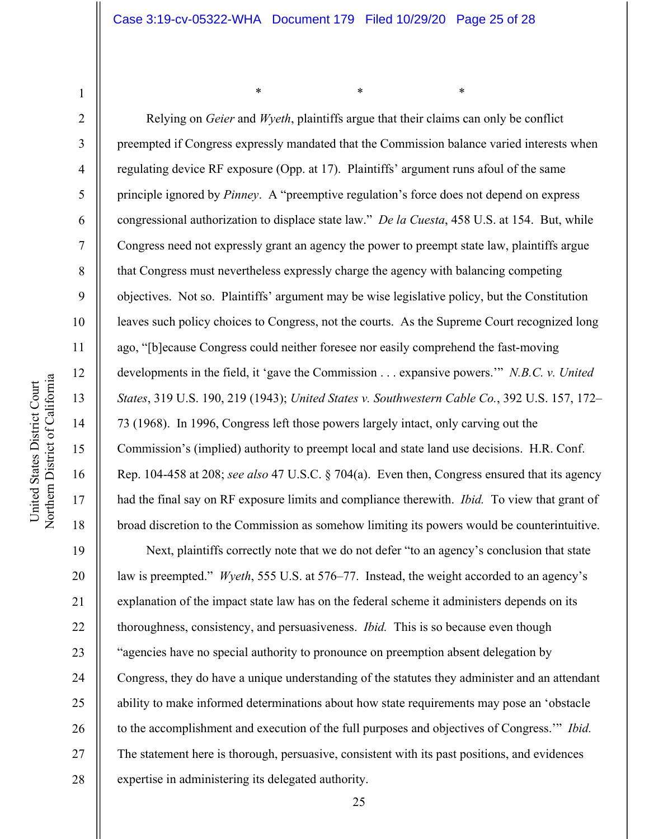$*$  \*  $*$  \*  $*$ 

Northern District of California Northern District of California United States District Court United States District Court

1

2

3

4

5

6

7

8

9

10

11

12

13

14

15

16

17

18

19

20

21

22

23

24

25

26

27

28

Relying on *Geier* and *Wyeth*, plaintiffs argue that their claims can only be conflict preempted if Congress expressly mandated that the Commission balance varied interests when regulating device RF exposure (Opp. at 17). Plaintiffs' argument runs afoul of the same principle ignored by *Pinney*. A "preemptive regulation's force does not depend on express congressional authorization to displace state law." *De la Cuesta*, 458 U.S. at 154. But, while Congress need not expressly grant an agency the power to preempt state law, plaintiffs argue that Congress must nevertheless expressly charge the agency with balancing competing objectives. Not so. Plaintiffs' argument may be wise legislative policy, but the Constitution leaves such policy choices to Congress, not the courts. As the Supreme Court recognized long ago, "[b]ecause Congress could neither foresee nor easily comprehend the fast-moving developments in the field, it 'gave the Commission . . . expansive powers.'" *N.B.C. v. United States*, 319 U.S. 190, 219 (1943); *United States v. Southwestern Cable Co.*, 392 U.S. 157, 172– 73 (1968). In 1996, Congress left those powers largely intact, only carving out the Commission's (implied) authority to preempt local and state land use decisions. H.R. Conf. Rep. 104-458 at 208; *see also* 47 U.S.C. § 704(a). Even then, Congress ensured that its agency had the final say on RF exposure limits and compliance therewith. *Ibid.* To view that grant of broad discretion to the Commission as somehow limiting its powers would be counterintuitive. Next, plaintiffs correctly note that we do not defer "to an agency's conclusion that state

law is preempted." *Wyeth*, 555 U.S. at 576–77. Instead, the weight accorded to an agency's explanation of the impact state law has on the federal scheme it administers depends on its thoroughness, consistency, and persuasiveness. *Ibid.* This is so because even though "agencies have no special authority to pronounce on preemption absent delegation by Congress, they do have a unique understanding of the statutes they administer and an attendant ability to make informed determinations about how state requirements may pose an 'obstacle to the accomplishment and execution of the full purposes and objectives of Congress.'" *Ibid.* The statement here is thorough, persuasive, consistent with its past positions, and evidences expertise in administering its delegated authority.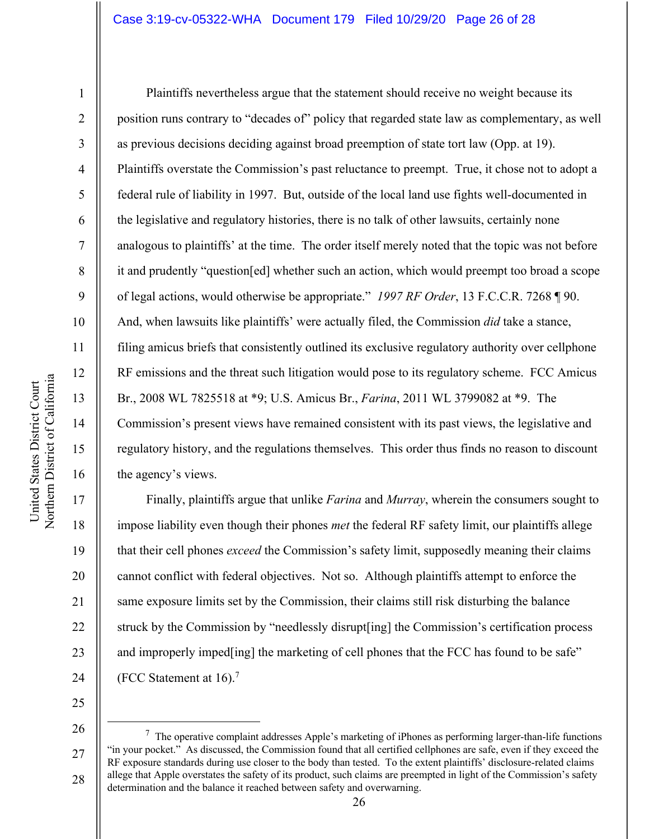### Case 3:19-cv-05322-WHA Document 179 Filed 10/29/20 Page 26 of 28

1

2

3

4

5

6

7

8

9

10

11

12

13

14

15

16

17

18

19

20

21

22

23

24

Plaintiffs nevertheless argue that the statement should receive no weight because its position runs contrary to "decades of" policy that regarded state law as complementary, as well as previous decisions deciding against broad preemption of state tort law (Opp. at 19). Plaintiffs overstate the Commission's past reluctance to preempt. True, it chose not to adopt a federal rule of liability in 1997. But, outside of the local land use fights well-documented in the legislative and regulatory histories, there is no talk of other lawsuits, certainly none analogous to plaintiffs' at the time. The order itself merely noted that the topic was not before it and prudently "question[ed] whether such an action, which would preempt too broad a scope of legal actions, would otherwise be appropriate." *1997 RF Order*, 13 F.C.C.R. 7268 ¶ 90. And, when lawsuits like plaintiffs' were actually filed, the Commission *did* take a stance, filing amicus briefs that consistently outlined its exclusive regulatory authority over cellphone RF emissions and the threat such litigation would pose to its regulatory scheme. FCC Amicus Br., 2008 WL 7825518 at \*9; U.S. Amicus Br., *Farina*, 2011 WL 3799082 at \*9. The Commission's present views have remained consistent with its past views, the legislative and regulatory history, and the regulations themselves. This order thus finds no reason to discount the agency's views.

Finally, plaintiffs argue that unlike *Farina* and *Murray*, wherein the consumers sought to impose liability even though their phones *met* the federal RF safety limit, our plaintiffs allege that their cell phones *exceed* the Commission's safety limit, supposedly meaning their claims cannot conflict with federal objectives. Not so. Although plaintiffs attempt to enforce the same exposure limits set by the Commission, their claims still risk disturbing the balance struck by the Commission by "needlessly disrupt[ing] the Commission's certification process and improperly imped[ing] the marketing of cell phones that the FCC has found to be safe" (FCC Statement at 16).7

25 26

27

 $7$  The operative complaint addresses Apple's marketing of iPhones as performing larger-than-life functions "in your pocket." As discussed, the Commission found that all certified cellphones are safe, even if they exceed the RF exposure standards during use closer to the body than tested. To the extent plaintiffs' disclosure-related claims allege that Apple overstates the safety of its product, such claims are preempted in light of the Commission's safety determination and the balance it reached between safety and overwarning.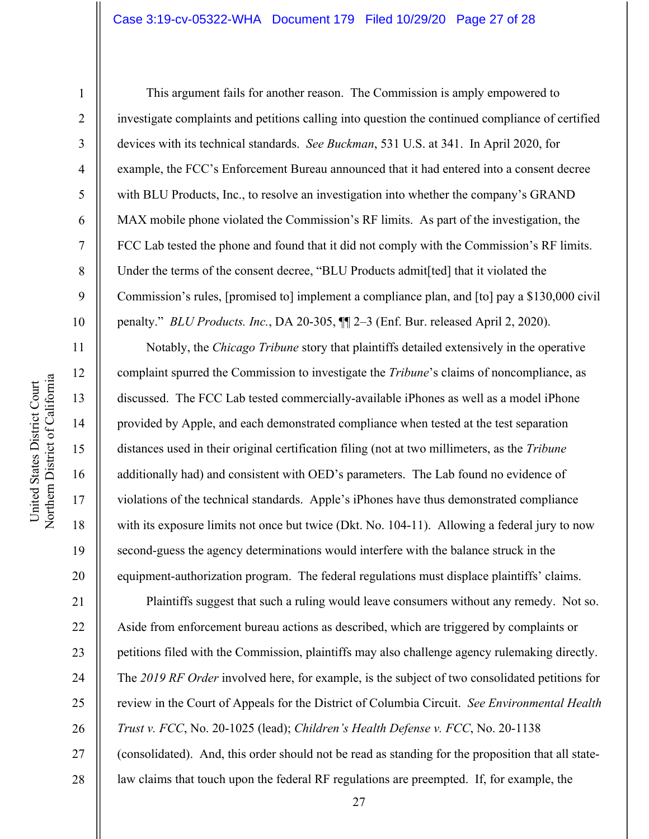## Case 3:19-cv-05322-WHA Document 179 Filed 10/29/20 Page 27 of 28

1

2

3

4

5

6

7

8

9

10

11

12

13

14

15

16

17

18

19

20

21

22

23

24

25

26

27

28

This argument fails for another reason. The Commission is amply empowered to investigate complaints and petitions calling into question the continued compliance of certified devices with its technical standards. *See Buckman*, 531 U.S. at 341. In April 2020, for example, the FCC's Enforcement Bureau announced that it had entered into a consent decree with BLU Products, Inc., to resolve an investigation into whether the company's GRAND MAX mobile phone violated the Commission's RF limits. As part of the investigation, the FCC Lab tested the phone and found that it did not comply with the Commission's RF limits. Under the terms of the consent decree, "BLU Products admit[ted] that it violated the Commission's rules, [promised to] implement a compliance plan, and [to] pay a \$130,000 civil penalty." *BLU Products. Inc.*, DA 20-305, ¶¶ 2–3 (Enf. Bur. released April 2, 2020).

Notably, the *Chicago Tribune* story that plaintiffs detailed extensively in the operative complaint spurred the Commission to investigate the *Tribune*'s claims of noncompliance, as discussed. The FCC Lab tested commercially-available iPhones as well as a model iPhone provided by Apple, and each demonstrated compliance when tested at the test separation distances used in their original certification filing (not at two millimeters, as the *Tribune* additionally had) and consistent with OED's parameters. The Lab found no evidence of violations of the technical standards. Apple's iPhones have thus demonstrated compliance with its exposure limits not once but twice (Dkt. No. 104-11). Allowing a federal jury to now second-guess the agency determinations would interfere with the balance struck in the equipment-authorization program. The federal regulations must displace plaintiffs' claims.

Plaintiffs suggest that such a ruling would leave consumers without any remedy. Not so. Aside from enforcement bureau actions as described, which are triggered by complaints or petitions filed with the Commission, plaintiffs may also challenge agency rulemaking directly. The *2019 RF Order* involved here, for example, is the subject of two consolidated petitions for review in the Court of Appeals for the District of Columbia Circuit. *See Environmental Health Trust v. FCC*, No. 20-1025 (lead); *Children's Health Defense v. FCC*, No. 20-1138 (consolidated). And, this order should not be read as standing for the proposition that all statelaw claims that touch upon the federal RF regulations are preempted. If, for example, the